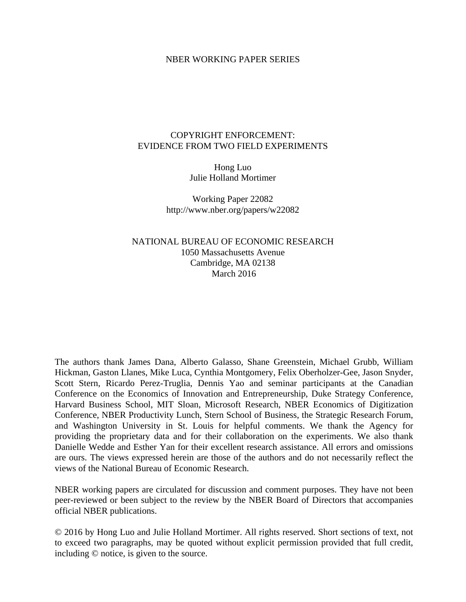## NBER WORKING PAPER SERIES

## COPYRIGHT ENFORCEMENT: EVIDENCE FROM TWO FIELD EXPERIMENTS

Hong Luo Julie Holland Mortimer

Working Paper 22082 http://www.nber.org/papers/w22082

NATIONAL BUREAU OF ECONOMIC RESEARCH 1050 Massachusetts Avenue Cambridge, MA 02138 March 2016

The authors thank James Dana, Alberto Galasso, Shane Greenstein, Michael Grubb, William Hickman, Gaston Llanes, Mike Luca, Cynthia Montgomery, Felix Oberholzer-Gee, Jason Snyder, Scott Stern, Ricardo Perez-Truglia, Dennis Yao and seminar participants at the Canadian Conference on the Economics of Innovation and Entrepreneurship, Duke Strategy Conference, Harvard Business School, MIT Sloan, Microsoft Research, NBER Economics of Digitization Conference, NBER Productivity Lunch, Stern School of Business, the Strategic Research Forum, and Washington University in St. Louis for helpful comments. We thank the Agency for providing the proprietary data and for their collaboration on the experiments. We also thank Danielle Wedde and Esther Yan for their excellent research assistance. All errors and omissions are ours. The views expressed herein are those of the authors and do not necessarily reflect the views of the National Bureau of Economic Research.

NBER working papers are circulated for discussion and comment purposes. They have not been peer-reviewed or been subject to the review by the NBER Board of Directors that accompanies official NBER publications.

© 2016 by Hong Luo and Julie Holland Mortimer. All rights reserved. Short sections of text, not to exceed two paragraphs, may be quoted without explicit permission provided that full credit, including © notice, is given to the source.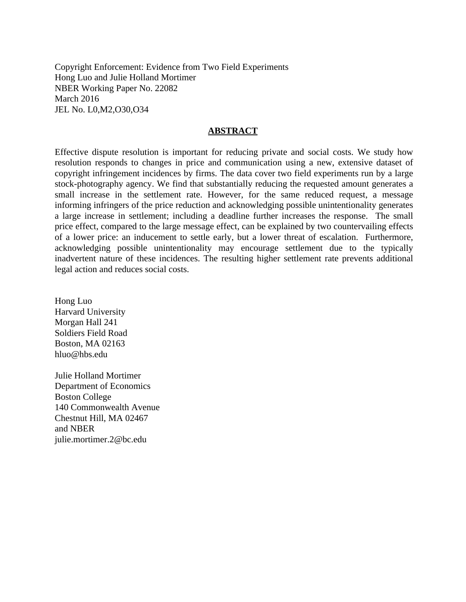Copyright Enforcement: Evidence from Two Field Experiments Hong Luo and Julie Holland Mortimer NBER Working Paper No. 22082 March 2016 JEL No. L0,M2,O30,O34

## **ABSTRACT**

Effective dispute resolution is important for reducing private and social costs. We study how resolution responds to changes in price and communication using a new, extensive dataset of copyright infringement incidences by firms. The data cover two field experiments run by a large stock-photography agency. We find that substantially reducing the requested amount generates a small increase in the settlement rate. However, for the same reduced request, a message informing infringers of the price reduction and acknowledging possible unintentionality generates a large increase in settlement; including a deadline further increases the response. The small price effect, compared to the large message effect, can be explained by two countervailing effects of a lower price: an inducement to settle early, but a lower threat of escalation. Furthermore, acknowledging possible unintentionality may encourage settlement due to the typically inadvertent nature of these incidences. The resulting higher settlement rate prevents additional legal action and reduces social costs.

Hong Luo Harvard University Morgan Hall 241 Soldiers Field Road Boston, MA 02163 hluo@hbs.edu

Julie Holland Mortimer Department of Economics Boston College 140 Commonwealth Avenue Chestnut Hill, MA 02467 and NBER julie.mortimer.2@bc.edu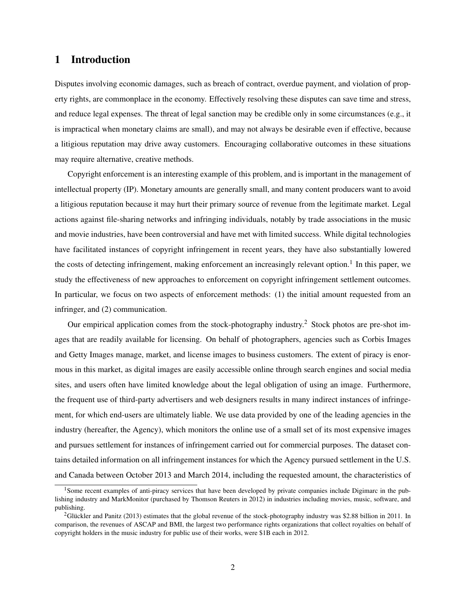## 1 Introduction

Disputes involving economic damages, such as breach of contract, overdue payment, and violation of property rights, are commonplace in the economy. Effectively resolving these disputes can save time and stress, and reduce legal expenses. The threat of legal sanction may be credible only in some circumstances (e.g., it is impractical when monetary claims are small), and may not always be desirable even if effective, because a litigious reputation may drive away customers. Encouraging collaborative outcomes in these situations may require alternative, creative methods.

Copyright enforcement is an interesting example of this problem, and is important in the management of intellectual property (IP). Monetary amounts are generally small, and many content producers want to avoid a litigious reputation because it may hurt their primary source of revenue from the legitimate market. Legal actions against file-sharing networks and infringing individuals, notably by trade associations in the music and movie industries, have been controversial and have met with limited success. While digital technologies have facilitated instances of copyright infringement in recent years, they have also substantially lowered the costs of detecting infringement, making enforcement an increasingly relevant option.<sup>1</sup> In this paper, we study the effectiveness of new approaches to enforcement on copyright infringement settlement outcomes. In particular, we focus on two aspects of enforcement methods: (1) the initial amount requested from an infringer, and (2) communication.

Our empirical application comes from the stock-photography industry.<sup>2</sup> Stock photos are pre-shot images that are readily available for licensing. On behalf of photographers, agencies such as Corbis Images and Getty Images manage, market, and license images to business customers. The extent of piracy is enormous in this market, as digital images are easily accessible online through search engines and social media sites, and users often have limited knowledge about the legal obligation of using an image. Furthermore, the frequent use of third-party advertisers and web designers results in many indirect instances of infringement, for which end-users are ultimately liable. We use data provided by one of the leading agencies in the industry (hereafter, the Agency), which monitors the online use of a small set of its most expensive images and pursues settlement for instances of infringement carried out for commercial purposes. The dataset contains detailed information on all infringement instances for which the Agency pursued settlement in the U.S. and Canada between October 2013 and March 2014, including the requested amount, the characteristics of

<sup>&</sup>lt;sup>1</sup>Some recent examples of anti-piracy services that have been developed by private companies include Digimarc in the publishing industry and MarkMonitor (purchased by Thomson Reuters in 2012) in industries including movies, music, software, and publishing.

<sup>&</sup>lt;sup>2</sup>Glückler and Panitz (2013) estimates that the global revenue of the stock-photography industry was \$2.88 billion in 2011. In comparison, the revenues of ASCAP and BMI, the largest two performance rights organizations that collect royalties on behalf of copyright holders in the music industry for public use of their works, were \$1B each in 2012.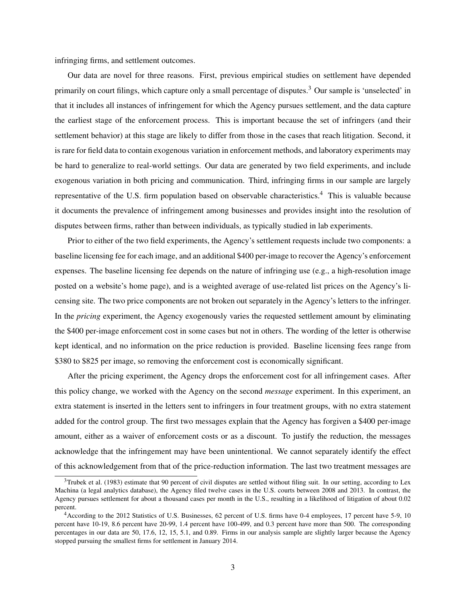infringing firms, and settlement outcomes.

Our data are novel for three reasons. First, previous empirical studies on settlement have depended primarily on court filings, which capture only a small percentage of disputes.<sup>3</sup> Our sample is 'unselected' in that it includes all instances of infringement for which the Agency pursues settlement, and the data capture the earliest stage of the enforcement process. This is important because the set of infringers (and their settlement behavior) at this stage are likely to differ from those in the cases that reach litigation. Second, it is rare for field data to contain exogenous variation in enforcement methods, and laboratory experiments may be hard to generalize to real-world settings. Our data are generated by two field experiments, and include exogenous variation in both pricing and communication. Third, infringing firms in our sample are largely representative of the U.S. firm population based on observable characteristics.<sup>4</sup> This is valuable because it documents the prevalence of infringement among businesses and provides insight into the resolution of disputes between firms, rather than between individuals, as typically studied in lab experiments.

Prior to either of the two field experiments, the Agency's settlement requests include two components: a baseline licensing fee for each image, and an additional \$400 per-image to recover the Agency's enforcement expenses. The baseline licensing fee depends on the nature of infringing use (e.g., a high-resolution image posted on a website's home page), and is a weighted average of use-related list prices on the Agency's licensing site. The two price components are not broken out separately in the Agency's letters to the infringer. In the *pricing* experiment, the Agency exogenously varies the requested settlement amount by eliminating the \$400 per-image enforcement cost in some cases but not in others. The wording of the letter is otherwise kept identical, and no information on the price reduction is provided. Baseline licensing fees range from \$380 to \$825 per image, so removing the enforcement cost is economically significant.

After the pricing experiment, the Agency drops the enforcement cost for all infringement cases. After this policy change, we worked with the Agency on the second *message* experiment. In this experiment, an extra statement is inserted in the letters sent to infringers in four treatment groups, with no extra statement added for the control group. The first two messages explain that the Agency has forgiven a \$400 per-image amount, either as a waiver of enforcement costs or as a discount. To justify the reduction, the messages acknowledge that the infringement may have been unintentional. We cannot separately identify the effect of this acknowledgement from that of the price-reduction information. The last two treatment messages are

 $3$ Trubek et al. (1983) estimate that 90 percent of civil disputes are settled without filing suit. In our setting, according to Lex Machina (a legal analytics database), the Agency filed twelve cases in the U.S. courts between 2008 and 2013. In contrast, the Agency pursues settlement for about a thousand cases per month in the U.S., resulting in a likelihood of litigation of about 0.02 percent.

<sup>4</sup>According to the 2012 Statistics of U.S. Businesses, 62 percent of U.S. firms have 0-4 employees, 17 percent have 5-9, 10 percent have 10-19, 8.6 percent have 20-99, 1.4 percent have 100-499, and 0.3 percent have more than 500. The corresponding percentages in our data are 50, 17.6, 12, 15, 5.1, and 0.89. Firms in our analysis sample are slightly larger because the Agency stopped pursuing the smallest firms for settlement in January 2014.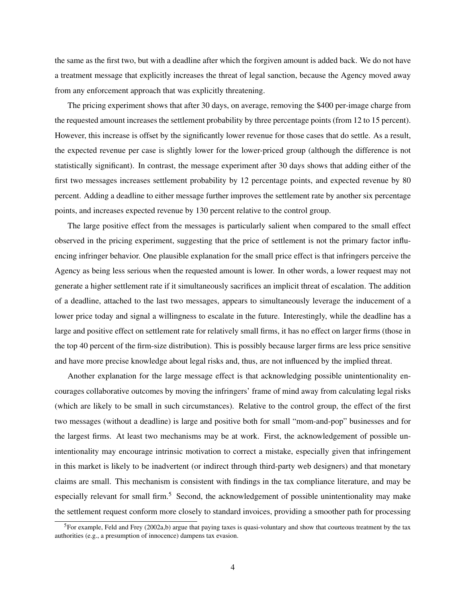the same as the first two, but with a deadline after which the forgiven amount is added back. We do not have a treatment message that explicitly increases the threat of legal sanction, because the Agency moved away from any enforcement approach that was explicitly threatening.

The pricing experiment shows that after 30 days, on average, removing the \$400 per-image charge from the requested amount increases the settlement probability by three percentage points (from 12 to 15 percent). However, this increase is offset by the significantly lower revenue for those cases that do settle. As a result, the expected revenue per case is slightly lower for the lower-priced group (although the difference is not statistically significant). In contrast, the message experiment after 30 days shows that adding either of the first two messages increases settlement probability by 12 percentage points, and expected revenue by 80 percent. Adding a deadline to either message further improves the settlement rate by another six percentage points, and increases expected revenue by 130 percent relative to the control group.

The large positive effect from the messages is particularly salient when compared to the small effect observed in the pricing experiment, suggesting that the price of settlement is not the primary factor influencing infringer behavior. One plausible explanation for the small price effect is that infringers perceive the Agency as being less serious when the requested amount is lower. In other words, a lower request may not generate a higher settlement rate if it simultaneously sacrifices an implicit threat of escalation. The addition of a deadline, attached to the last two messages, appears to simultaneously leverage the inducement of a lower price today and signal a willingness to escalate in the future. Interestingly, while the deadline has a large and positive effect on settlement rate for relatively small firms, it has no effect on larger firms (those in the top 40 percent of the firm-size distribution). This is possibly because larger firms are less price sensitive and have more precise knowledge about legal risks and, thus, are not influenced by the implied threat.

Another explanation for the large message effect is that acknowledging possible unintentionality encourages collaborative outcomes by moving the infringers' frame of mind away from calculating legal risks (which are likely to be small in such circumstances). Relative to the control group, the effect of the first two messages (without a deadline) is large and positive both for small "mom-and-pop" businesses and for the largest firms. At least two mechanisms may be at work. First, the acknowledgement of possible unintentionality may encourage intrinsic motivation to correct a mistake, especially given that infringement in this market is likely to be inadvertent (or indirect through third-party web designers) and that monetary claims are small. This mechanism is consistent with findings in the tax compliance literature, and may be especially relevant for small firm.<sup>5</sup> Second, the acknowledgement of possible unintentionality may make the settlement request conform more closely to standard invoices, providing a smoother path for processing

<sup>&</sup>lt;sup>5</sup>For example, Feld and Frey (2002a,b) argue that paying taxes is quasi-voluntary and show that courteous treatment by the tax authorities (e.g., a presumption of innocence) dampens tax evasion.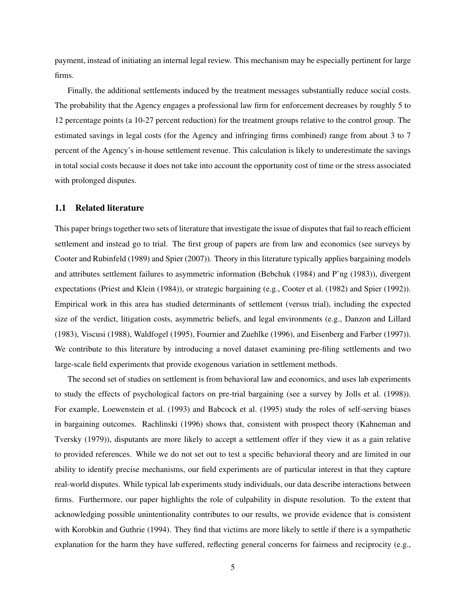payment, instead of initiating an internal legal review. This mechanism may be especially pertinent for large firms.

Finally, the additional settlements induced by the treatment messages substantially reduce social costs. The probability that the Agency engages a professional law firm for enforcement decreases by roughly 5 to 12 percentage points (a 10-27 percent reduction) for the treatment groups relative to the control group. The estimated savings in legal costs (for the Agency and infringing firms combined) range from about 3 to 7 percent of the Agency's in-house settlement revenue. This calculation is likely to underestimate the savings in total social costs because it does not take into account the opportunity cost of time or the stress associated with prolonged disputes.

#### 1.1 Related literature

This paper brings together two sets of literature that investigate the issue of disputes that fail to reach efficient settlement and instead go to trial. The first group of papers are from law and economics (see surveys by Cooter and Rubinfeld (1989) and Spier (2007)). Theory in this literature typically applies bargaining models and attributes settlement failures to asymmetric information (Bebchuk (1984) and P'ng (1983)), divergent expectations (Priest and Klein (1984)), or strategic bargaining (e.g., Cooter et al. (1982) and Spier (1992)). Empirical work in this area has studied determinants of settlement (versus trial), including the expected size of the verdict, litigation costs, asymmetric beliefs, and legal environments (e.g., Danzon and Lillard (1983), Viscusi (1988), Waldfogel (1995), Fournier and Zuehlke (1996), and Eisenberg and Farber (1997)). We contribute to this literature by introducing a novel dataset examining pre-filing settlements and two large-scale field experiments that provide exogenous variation in settlement methods.

The second set of studies on settlement is from behavioral law and economics, and uses lab experiments to study the effects of psychological factors on pre-trial bargaining (see a survey by Jolls et al. (1998)). For example, Loewenstein et al. (1993) and Babcock et al. (1995) study the roles of self-serving biases in bargaining outcomes. Rachlinski (1996) shows that, consistent with prospect theory (Kahneman and Tversky (1979)), disputants are more likely to accept a settlement offer if they view it as a gain relative to provided references. While we do not set out to test a specific behavioral theory and are limited in our ability to identify precise mechanisms, our field experiments are of particular interest in that they capture real-world disputes. While typical lab experiments study individuals, our data describe interactions between firms. Furthermore, our paper highlights the role of culpability in dispute resolution. To the extent that acknowledging possible unintentionality contributes to our results, we provide evidence that is consistent with Korobkin and Guthrie (1994). They find that victims are more likely to settle if there is a sympathetic explanation for the harm they have suffered, reflecting general concerns for fairness and reciprocity (e.g.,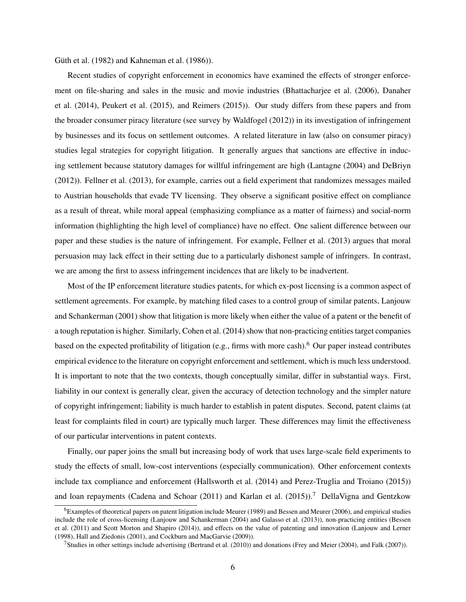Güth et al.  $(1982)$  and Kahneman et al.  $(1986)$ ).

Recent studies of copyright enforcement in economics have examined the effects of stronger enforcement on file-sharing and sales in the music and movie industries (Bhattacharjee et al. (2006), Danaher et al. (2014), Peukert et al. (2015), and Reimers (2015)). Our study differs from these papers and from the broader consumer piracy literature (see survey by Waldfogel (2012)) in its investigation of infringement by businesses and its focus on settlement outcomes. A related literature in law (also on consumer piracy) studies legal strategies for copyright litigation. It generally argues that sanctions are effective in inducing settlement because statutory damages for willful infringement are high (Lantagne (2004) and DeBriyn (2012)). Fellner et al. (2013), for example, carries out a field experiment that randomizes messages mailed to Austrian households that evade TV licensing. They observe a significant positive effect on compliance as a result of threat, while moral appeal (emphasizing compliance as a matter of fairness) and social-norm information (highlighting the high level of compliance) have no effect. One salient difference between our paper and these studies is the nature of infringement. For example, Fellner et al. (2013) argues that moral persuasion may lack effect in their setting due to a particularly dishonest sample of infringers. In contrast, we are among the first to assess infringement incidences that are likely to be inadvertent.

Most of the IP enforcement literature studies patents, for which ex-post licensing is a common aspect of settlement agreements. For example, by matching filed cases to a control group of similar patents, Lanjouw and Schankerman (2001) show that litigation is more likely when either the value of a patent or the benefit of a tough reputation is higher. Similarly, Cohen et al. (2014) show that non-practicing entities target companies based on the expected profitability of litigation (e.g., firms with more cash).<sup>6</sup> Our paper instead contributes empirical evidence to the literature on copyright enforcement and settlement, which is much less understood. It is important to note that the two contexts, though conceptually similar, differ in substantial ways. First, liability in our context is generally clear, given the accuracy of detection technology and the simpler nature of copyright infringement; liability is much harder to establish in patent disputes. Second, patent claims (at least for complaints filed in court) are typically much larger. These differences may limit the effectiveness of our particular interventions in patent contexts.

Finally, our paper joins the small but increasing body of work that uses large-scale field experiments to study the effects of small, low-cost interventions (especially communication). Other enforcement contexts include tax compliance and enforcement (Hallsworth et al. (2014) and Perez-Truglia and Troiano (2015)) and loan repayments (Cadena and Schoar (2011) and Karlan et al. (2015)).<sup>7</sup> DellaVigna and Gentzkow

 $6$ Examples of theoretical papers on patent litigation include Meurer (1989) and Bessen and Meurer (2006), and empirical studies include the role of cross-licensing (Lanjouw and Schankerman (2004) and Galasso et al. (2013)), non-practicing entities (Bessen et al. (2011) and Scott Morton and Shapiro (2014)), and effects on the value of patenting and innovation (Lanjouw and Lerner (1998), Hall and Ziedonis (2001), and Cockburn and MacGarvie (2009)).

<sup>7</sup>Studies in other settings include advertising (Bertrand et al. (2010)) and donations (Frey and Meier (2004), and Falk (2007)).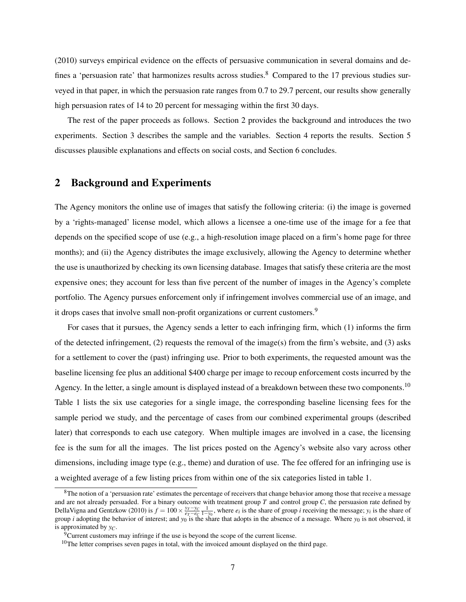(2010) surveys empirical evidence on the effects of persuasive communication in several domains and defines a 'persuasion rate' that harmonizes results across studies.<sup>8</sup> Compared to the 17 previous studies surveyed in that paper, in which the persuasion rate ranges from 0.7 to 29.7 percent, our results show generally high persuasion rates of 14 to 20 percent for messaging within the first 30 days.

The rest of the paper proceeds as follows. Section 2 provides the background and introduces the two experiments. Section 3 describes the sample and the variables. Section 4 reports the results. Section 5 discusses plausible explanations and effects on social costs, and Section 6 concludes.

## 2 Background and Experiments

The Agency monitors the online use of images that satisfy the following criteria: (i) the image is governed by a 'rights-managed' license model, which allows a licensee a one-time use of the image for a fee that depends on the specified scope of use (e.g., a high-resolution image placed on a firm's home page for three months); and (ii) the Agency distributes the image exclusively, allowing the Agency to determine whether the use is unauthorized by checking its own licensing database. Images that satisfy these criteria are the most expensive ones; they account for less than five percent of the number of images in the Agency's complete portfolio. The Agency pursues enforcement only if infringement involves commercial use of an image, and it drops cases that involve small non-profit organizations or current customers.<sup>9</sup>

For cases that it pursues, the Agency sends a letter to each infringing firm, which (1) informs the firm of the detected infringement,  $(2)$  requests the removal of the image(s) from the firm's website, and  $(3)$  asks for a settlement to cover the (past) infringing use. Prior to both experiments, the requested amount was the baseline licensing fee plus an additional \$400 charge per image to recoup enforcement costs incurred by the Agency. In the letter, a single amount is displayed instead of a breakdown between these two components.<sup>10</sup> Table 1 lists the six use categories for a single image, the corresponding baseline licensing fees for the sample period we study, and the percentage of cases from our combined experimental groups (described later) that corresponds to each use category. When multiple images are involved in a case, the licensing fee is the sum for all the images. The list prices posted on the Agency's website also vary across other dimensions, including image type (e.g., theme) and duration of use. The fee offered for an infringing use is a weighted average of a few listing prices from within one of the six categories listed in table 1.

 $8$ The notion of a 'persuasion rate' estimates the percentage of receivers that change behavior among those that receive a message and are not already persuaded. For a binary outcome with treatment group *T* and control group *C*, the persuasion rate defined by DellaVigna and Gentzkow (2010) is  $f = 100 \times \frac{y_T - y_C}{e_T - e_C} \frac{1}{1 - y_0}$ , where  $e_i$  is the share of group *i* receiving the message;  $y_i$  is the share of group *i* adopting the behavior of interest; and  $y_0$  is the share that adopts in the absence of a message. Where  $y_0$  is not observed, it is approximated by *yC*.

<sup>&</sup>lt;sup>9</sup>Current customers may infringe if the use is beyond the scope of the current license.

<sup>&</sup>lt;sup>10</sup>The letter comprises seven pages in total, with the invoiced amount displayed on the third page.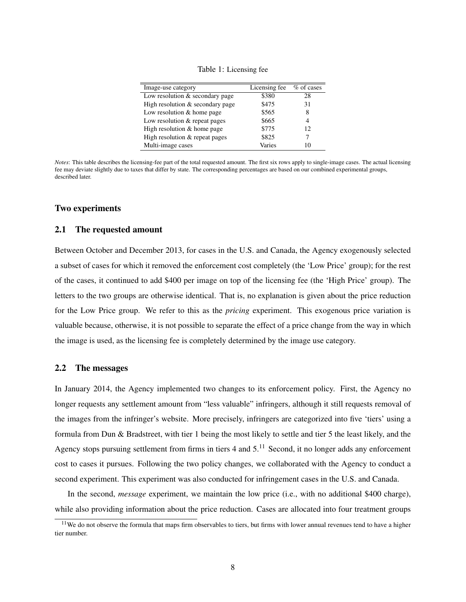|  |  | Table 1: Licensing fee |  |
|--|--|------------------------|--|
|--|--|------------------------|--|

| Image-use category                 | Licensing fee | % of cases |
|------------------------------------|---------------|------------|
| Low resolution $&$ secondary page  | \$380         | 28         |
| High resolution $&$ secondary page | \$475         | 31         |
| Low resolution & home page         | \$565         | 8          |
| Low resolution & repeat pages      | \$665         |            |
| High resolution & home page        | \$775         | 12         |
| High resolution & repeat pages     | \$825         |            |
| Multi-image cases                  | Varies        | 10         |

*Notes*: This table describes the licensing-fee part of the total requested amount. The first six rows apply to single-image cases. The actual licensing fee may deviate slightly due to taxes that differ by state. The corresponding percentages are based on our combined experimental groups, described later.

## Two experiments

## 2.1 The requested amount

Between October and December 2013, for cases in the U.S. and Canada, the Agency exogenously selected a subset of cases for which it removed the enforcement cost completely (the 'Low Price' group); for the rest of the cases, it continued to add \$400 per image on top of the licensing fee (the 'High Price' group). The letters to the two groups are otherwise identical. That is, no explanation is given about the price reduction for the Low Price group. We refer to this as the *pricing* experiment. This exogenous price variation is valuable because, otherwise, it is not possible to separate the effect of a price change from the way in which the image is used, as the licensing fee is completely determined by the image use category.

## 2.2 The messages

In January 2014, the Agency implemented two changes to its enforcement policy. First, the Agency no longer requests any settlement amount from "less valuable" infringers, although it still requests removal of the images from the infringer's website. More precisely, infringers are categorized into five 'tiers' using a formula from Dun & Bradstreet, with tier 1 being the most likely to settle and tier 5 the least likely, and the Agency stops pursuing settlement from firms in tiers 4 and  $5<sup>11</sup>$  Second, it no longer adds any enforcement cost to cases it pursues. Following the two policy changes, we collaborated with the Agency to conduct a second experiment. This experiment was also conducted for infringement cases in the U.S. and Canada.

In the second, *message* experiment, we maintain the low price (i.e., with no additional \$400 charge), while also providing information about the price reduction. Cases are allocated into four treatment groups

 $11$ We do not observe the formula that maps firm observables to tiers, but firms with lower annual revenues tend to have a higher tier number.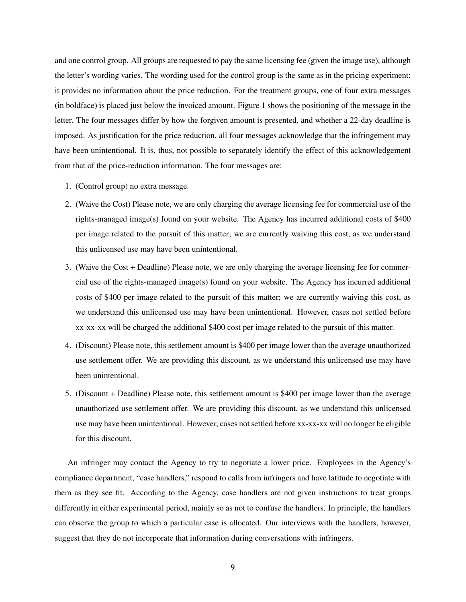and one control group. All groups are requested to pay the same licensing fee (given the image use), although the letter's wording varies. The wording used for the control group is the same as in the pricing experiment; it provides no information about the price reduction. For the treatment groups, one of four extra messages (in boldface) is placed just below the invoiced amount. Figure 1 shows the positioning of the message in the letter. The four messages differ by how the forgiven amount is presented, and whether a 22-day deadline is imposed. As justification for the price reduction, all four messages acknowledge that the infringement may have been unintentional. It is, thus, not possible to separately identify the effect of this acknowledgement from that of the price-reduction information. The four messages are:

- 1. (Control group) no extra message.
- 2. (Waive the Cost) Please note, we are only charging the average licensing fee for commercial use of the rights-managed image(s) found on your website. The Agency has incurred additional costs of \$400 per image related to the pursuit of this matter; we are currently waiving this cost, as we understand this unlicensed use may have been unintentional.
- 3. (Waive the Cost + Deadline) Please note, we are only charging the average licensing fee for commercial use of the rights-managed image(s) found on your website. The Agency has incurred additional costs of \$400 per image related to the pursuit of this matter; we are currently waiving this cost, as we understand this unlicensed use may have been unintentional. However, cases not settled before xx-xx-xx will be charged the additional \$400 cost per image related to the pursuit of this matter.
- 4. (Discount) Please note, this settlement amount is \$400 per image lower than the average unauthorized use settlement offer. We are providing this discount, as we understand this unlicensed use may have been unintentional.
- 5. (Discount + Deadline) Please note, this settlement amount is \$400 per image lower than the average unauthorized use settlement offer. We are providing this discount, as we understand this unlicensed use may have been unintentional. However, cases not settled before xx-xx-xx will no longer be eligible for this discount.

An infringer may contact the Agency to try to negotiate a lower price. Employees in the Agency's compliance department, "case handlers," respond to calls from infringers and have latitude to negotiate with them as they see fit. According to the Agency, case handlers are not given instructions to treat groups differently in either experimental period, mainly so as not to confuse the handlers. In principle, the handlers can observe the group to which a particular case is allocated. Our interviews with the handlers, however, suggest that they do not incorporate that information during conversations with infringers.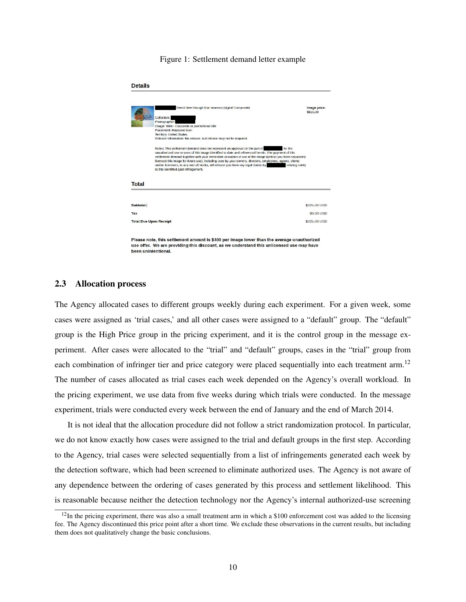#### Figure 1: Settlement demand letter example

|              | Beech tree through four seasons (digital Composite)                                                       | Image price:<br>\$825,00 |
|--------------|-----------------------------------------------------------------------------------------------------------|--------------------------|
|              | Collection:                                                                                               |                          |
|              | Photographer:                                                                                             |                          |
|              | Usage: Web - Corporate or promotional site                                                                |                          |
|              | Placement: Repeated icon                                                                                  |                          |
|              | <b>Territory: United States</b>                                                                           |                          |
|              | Release Information: No release, but release may not be required.                                         |                          |
|              | Notes: This settlement demand does not represent an approval on the part of                               | for the                  |
|              | unauthorized use or uses of this image identified to date and referenced herein. The payment of this      |                          |
|              | settlement demand together with your immediate cessation of use of the image (unless you have separately  |                          |
|              |                                                                                                           |                          |
|              | licensed this image for future use), including uses by your owners, directors, employees, agents, clients |                          |
|              | and/or licensees, in any and all media, will release you from any legal claims by                         | relating solely          |
|              | to this identified past infringement.                                                                     |                          |
|              |                                                                                                           |                          |
| <b>Total</b> |                                                                                                           |                          |
|              |                                                                                                           |                          |
| Subtotal:    |                                                                                                           | \$825.00 USD             |
| Tax          |                                                                                                           | \$0.00 USD               |

Please note, this settlement amount is \$400 per image lower than the average unauthorized use offer. We are providing this discount, as we understand this unlicensed use may have been unintentional.

## 2.3 Allocation process

The Agency allocated cases to different groups weekly during each experiment. For a given week, some cases were assigned as 'trial cases,' and all other cases were assigned to a "default" group. The "default" group is the High Price group in the pricing experiment, and it is the control group in the message experiment. After cases were allocated to the "trial" and "default" groups, cases in the "trial" group from each combination of infringer tier and price category were placed sequentially into each treatment arm.<sup>12</sup> The number of cases allocated as trial cases each week depended on the Agency's overall workload. In the pricing experiment, we use data from five weeks during which trials were conducted. In the message experiment, trials were conducted every week between the end of January and the end of March 2014.

It is not ideal that the allocation procedure did not follow a strict randomization protocol. In particular, we do not know exactly how cases were assigned to the trial and default groups in the first step. According to the Agency, trial cases were selected sequentially from a list of infringements generated each week by the detection software, which had been screened to eliminate authorized uses. The Agency is not aware of any dependence between the ordering of cases generated by this process and settlement likelihood. This is reasonable because neither the detection technology nor the Agency's internal authorized-use screening

 $12$ In the pricing experiment, there was also a small treatment arm in which a \$100 enforcement cost was added to the licensing fee. The Agency discontinued this price point after a short time. We exclude these observations in the current results, but including them does not qualitatively change the basic conclusions.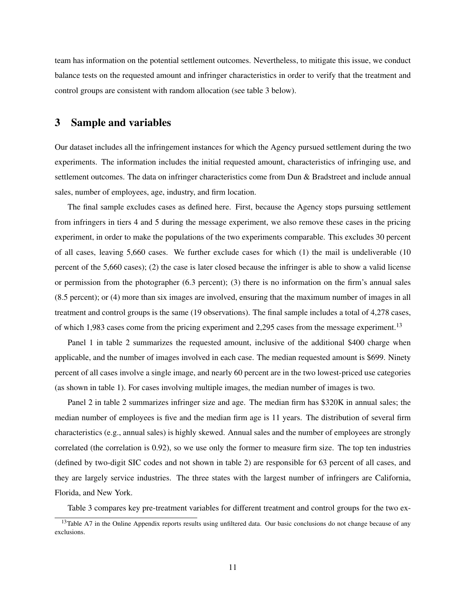team has information on the potential settlement outcomes. Nevertheless, to mitigate this issue, we conduct balance tests on the requested amount and infringer characteristics in order to verify that the treatment and control groups are consistent with random allocation (see table 3 below).

## 3 Sample and variables

Our dataset includes all the infringement instances for which the Agency pursued settlement during the two experiments. The information includes the initial requested amount, characteristics of infringing use, and settlement outcomes. The data on infringer characteristics come from Dun & Bradstreet and include annual sales, number of employees, age, industry, and firm location.

The final sample excludes cases as defined here. First, because the Agency stops pursuing settlement from infringers in tiers 4 and 5 during the message experiment, we also remove these cases in the pricing experiment, in order to make the populations of the two experiments comparable. This excludes 30 percent of all cases, leaving 5,660 cases. We further exclude cases for which (1) the mail is undeliverable (10 percent of the 5,660 cases); (2) the case is later closed because the infringer is able to show a valid license or permission from the photographer (6.3 percent); (3) there is no information on the firm's annual sales (8.5 percent); or (4) more than six images are involved, ensuring that the maximum number of images in all treatment and control groups is the same (19 observations). The final sample includes a total of 4,278 cases, of which 1,983 cases come from the pricing experiment and 2,295 cases from the message experiment.<sup>13</sup>

Panel 1 in table 2 summarizes the requested amount, inclusive of the additional \$400 charge when applicable, and the number of images involved in each case. The median requested amount is \$699. Ninety percent of all cases involve a single image, and nearly 60 percent are in the two lowest-priced use categories (as shown in table 1). For cases involving multiple images, the median number of images is two.

Panel 2 in table 2 summarizes infringer size and age. The median firm has \$320K in annual sales; the median number of employees is five and the median firm age is 11 years. The distribution of several firm characteristics (e.g., annual sales) is highly skewed. Annual sales and the number of employees are strongly correlated (the correlation is 0.92), so we use only the former to measure firm size. The top ten industries (defined by two-digit SIC codes and not shown in table 2) are responsible for 63 percent of all cases, and they are largely service industries. The three states with the largest number of infringers are California, Florida, and New York.

Table 3 compares key pre-treatment variables for different treatment and control groups for the two ex-

<sup>&</sup>lt;sup>13</sup>Table A7 in the Online Appendix reports results using unfiltered data. Our basic conclusions do not change because of any exclusions.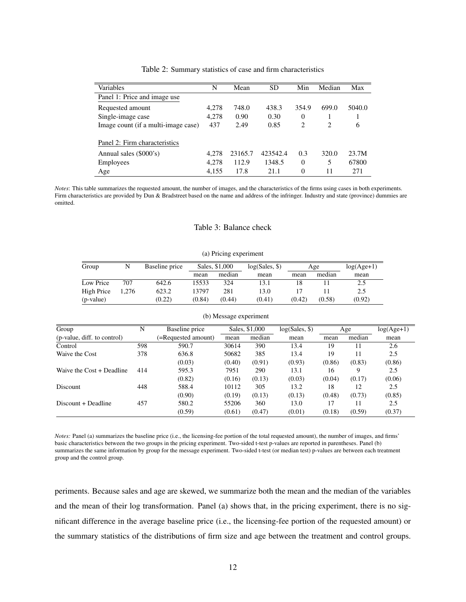| Variables                           | N     | Mean    | <b>SD</b> | Min      | Median | Max    |
|-------------------------------------|-------|---------|-----------|----------|--------|--------|
| Panel 1: Price and image use        |       |         |           |          |        |        |
| Requested amount                    | 4,278 | 748.0   | 438.3     | 354.9    | 699.0  | 5040.0 |
| Single-image case                   | 4,278 | 0.90    | 0.30      | $\theta$ |        |        |
| Image count (if a multi-image case) | 437   | 2.49    | 0.85      | 2        | 2      | 6      |
| Panel 2: Firm characteristics       |       |         |           |          |        |        |
| Annual sales (\$000's)              | 4,278 | 23165.7 | 423542.4  | 0.3      | 320.0  | 23.7M  |
| Employees                           | 4,278 | 112.9   | 1348.5    | $\Omega$ | 5      | 67800  |
| Age                                 | 4,155 | 17.8    | 21.1      | $\theta$ | 11     | 271    |

Table 2: Summary statistics of case and firm characteristics

*Notes*: This table summarizes the requested amount, the number of images, and the characteristics of the firms using cases in both experiments. Firm characteristics are provided by Dun & Bradstreet based on the name and address of the infringer. Industry and state (province) dummies are omitted.

#### Table 3: Balance check

| (a) Pricing experiment |       |                |        |                |                |        |        |              |
|------------------------|-------|----------------|--------|----------------|----------------|--------|--------|--------------|
| Group                  |       | Baseline price |        | Sales, \$1,000 | log(Sales, \$) |        | Age    | $log(Age+1)$ |
|                        |       |                | mean   | median         | mean           | mean   | median | mean         |
| Low Price              | 707   | 642.6          | 15533  | 324            | 13.1           | 18     |        | 2.5          |
| High Price             | 1.276 | 623.2          | 13797  | 281            | 13.0           |        |        | 2.5          |
| (p-value)              |       | (0.22)         | (0.84) | (0.44)         | (0.41)         | (0.42) | (0.58) | (0.92)       |

| (p-value)                   |     | (0.22)<br>(0.84)    | (0.44)                 | (0.41)         | (0.42)         | (0.58) | (0.92) |              |
|-----------------------------|-----|---------------------|------------------------|----------------|----------------|--------|--------|--------------|
|                             |     |                     | (b) Message experiment |                |                |        |        |              |
| Group                       | N   | Baseline price      |                        | Sales, \$1,000 | log(Sales, \$) |        | Age    | $log(Age+1)$ |
| (p-value, diff. to control) |     | (=Requested amount) | mean                   | median         | mean           | mean   | median | mean         |
| Control                     | 598 | 590.7               | 30614                  | 390            | 13.4           | 19     |        | 2.6          |
| Waive the Cost              | 378 | 636.8               | 50682                  | 385            | 13.4           | 19     | 11     | 2.5          |
|                             |     | (0.03)              | (0.40)                 | (0.91)         | (0.93)         | (0.86) | (0.83) | (0.86)       |
| Waive the Cost + Deadline   | 414 | 595.3               | 7951                   | 290            | 13.1           | 16     | 9      | 2.5          |
|                             |     | (0.82)              | (0.16)                 | (0.13)         | (0.03)         | (0.04) | (0.17) | (0.06)       |
| Discount                    | 448 | 588.4               | 10112                  | 305            | 13.2           | 18     | 12     | 2.5          |
|                             |     |                     |                        |                |                |        |        |              |

 $(0.90)$   $(0.19)$   $(0.13)$   $(0.13)$   $(0.48)$   $(0.73)$   $(0.85)$ 

 $(0.59)$   $(0.61)$   $(0.47)$   $(0.01)$   $(0.18)$   $(0.59)$   $(0.37)$ 

*Notes:* Panel (a) summarizes the baseline price (i.e., the licensing-fee portion of the total requested amount), the number of images, and firms' basic characteristics between the two groups in the pricing experiment. Two-sided t-test p-values are reported in parentheses. Panel (b) summarizes the same information by group for the message experiment. Two-sided t-test (or median test) p-values are between each treatment group and the control group.

Discount + Deadline  $\begin{array}{cccc} 457 & 580.2 & 55206 & 360 & 13.0 & 17 & 11 & 2.5 \\ (0.59) & (0.61) & (0.47) & (0.01) & (0.18) & (0.59) & (0.37) \end{array}$ 

periments. Because sales and age are skewed, we summarize both the mean and the median of the variables and the mean of their log transformation. Panel (a) shows that, in the pricing experiment, there is no significant difference in the average baseline price (i.e., the licensing-fee portion of the requested amount) or the summary statistics of the distributions of firm size and age between the treatment and control groups.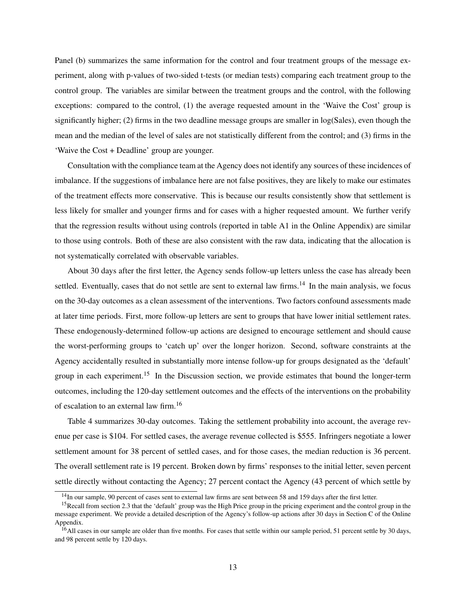Panel (b) summarizes the same information for the control and four treatment groups of the message experiment, along with p-values of two-sided t-tests (or median tests) comparing each treatment group to the control group. The variables are similar between the treatment groups and the control, with the following exceptions: compared to the control, (1) the average requested amount in the 'Waive the Cost' group is significantly higher; (2) firms in the two deadline message groups are smaller in log(Sales), even though the mean and the median of the level of sales are not statistically different from the control; and (3) firms in the 'Waive the Cost + Deadline' group are younger.

Consultation with the compliance team at the Agency does not identify any sources of these incidences of imbalance. If the suggestions of imbalance here are not false positives, they are likely to make our estimates of the treatment effects more conservative. This is because our results consistently show that settlement is less likely for smaller and younger firms and for cases with a higher requested amount. We further verify that the regression results without using controls (reported in table A1 in the Online Appendix) are similar to those using controls. Both of these are also consistent with the raw data, indicating that the allocation is not systematically correlated with observable variables.

About 30 days after the first letter, the Agency sends follow-up letters unless the case has already been settled. Eventually, cases that do not settle are sent to external law firms.<sup>14</sup> In the main analysis, we focus on the 30-day outcomes as a clean assessment of the interventions. Two factors confound assessments made at later time periods. First, more follow-up letters are sent to groups that have lower initial settlement rates. These endogenously-determined follow-up actions are designed to encourage settlement and should cause the worst-performing groups to 'catch up' over the longer horizon. Second, software constraints at the Agency accidentally resulted in substantially more intense follow-up for groups designated as the 'default' group in each experiment.<sup>15</sup> In the Discussion section, we provide estimates that bound the longer-term outcomes, including the 120-day settlement outcomes and the effects of the interventions on the probability of escalation to an external law firm.<sup>16</sup>

Table 4 summarizes 30-day outcomes. Taking the settlement probability into account, the average revenue per case is \$104. For settled cases, the average revenue collected is \$555. Infringers negotiate a lower settlement amount for 38 percent of settled cases, and for those cases, the median reduction is 36 percent. The overall settlement rate is 19 percent. Broken down by firms' responses to the initial letter, seven percent settle directly without contacting the Agency; 27 percent contact the Agency (43 percent of which settle by

<sup>&</sup>lt;sup>14</sup>In our sample, 90 percent of cases sent to external law firms are sent between 58 and 159 days after the first letter.

<sup>&</sup>lt;sup>15</sup>Recall from section 2.3 that the 'default' group was the High Price group in the pricing experiment and the control group in the message experiment. We provide a detailed description of the Agency's follow-up actions after 30 days in Section C of the Online Appendix.

<sup>&</sup>lt;sup>16</sup>All cases in our sample are older than five months. For cases that settle within our sample period, 51 percent settle by 30 days, and 98 percent settle by 120 days.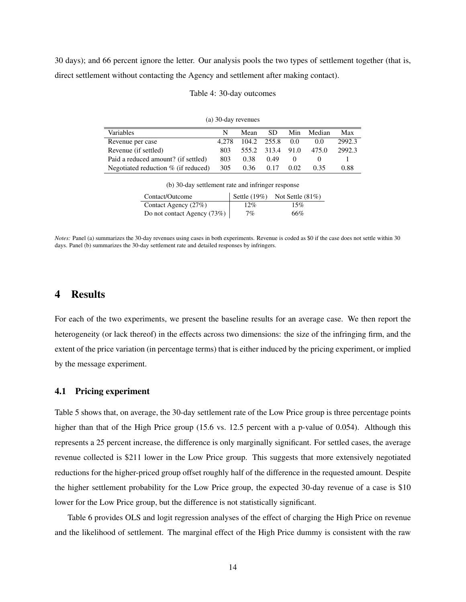30 days); and 66 percent ignore the letter. Our analysis pools the two types of settlement together (that is, direct settlement without contacting the Agency and settlement after making contact).

#### Table 4: 30-day outcomes

| (a) 30-day revenues                    |       |       |             |          |        |        |  |
|----------------------------------------|-------|-------|-------------|----------|--------|--------|--|
| Variables                              | N     | Mean  | SD.         | Min      | Median | Max    |  |
| Revenue per case                       | 4.278 |       | 104.2 255.8 | 0.0      | 0.0    | 2992.3 |  |
| Revenue (if settled)                   | 803   | 555.2 | 313.4       | 91.0     | 475.0  | 2992.3 |  |
| Paid a reduced amount? (if settled)    | 803   | 0.38  | 0.49        | $\theta$ |        |        |  |
| Negotiated reduction $\%$ (if reduced) | 305   | 0.36  | 0.17        | 0.02     | 0.35   | 0.88   |  |

| Contact/Outcome             |       | Settle $(19\%)$ Not Settle $(81\%)$ |
|-----------------------------|-------|-------------------------------------|
| Contact Agency (27%)        | 12%   | 15%                                 |
| Do not contact Agency (73%) | $7\%$ | 66%                                 |

(b) 30-day settlement rate and infringer response

## 4 Results

For each of the two experiments, we present the baseline results for an average case. We then report the heterogeneity (or lack thereof) in the effects across two dimensions: the size of the infringing firm, and the extent of the price variation (in percentage terms) that is either induced by the pricing experiment, or implied by the message experiment.

### 4.1 Pricing experiment

Table 5 shows that, on average, the 30-day settlement rate of the Low Price group is three percentage points higher than that of the High Price group (15.6 vs. 12.5 percent with a p-value of 0.054). Although this represents a 25 percent increase, the difference is only marginally significant. For settled cases, the average revenue collected is \$211 lower in the Low Price group. This suggests that more extensively negotiated reductions for the higher-priced group offset roughly half of the difference in the requested amount. Despite the higher settlement probability for the Low Price group, the expected 30-day revenue of a case is \$10 lower for the Low Price group, but the difference is not statistically significant.

Table 6 provides OLS and logit regression analyses of the effect of charging the High Price on revenue and the likelihood of settlement. The marginal effect of the High Price dummy is consistent with the raw

*Notes:* Panel (a) summarizes the 30-day revenues using cases in both experiments. Revenue is coded as \$0 if the case does not settle within 30 days. Panel (b) summarizes the 30-day settlement rate and detailed responses by infringers.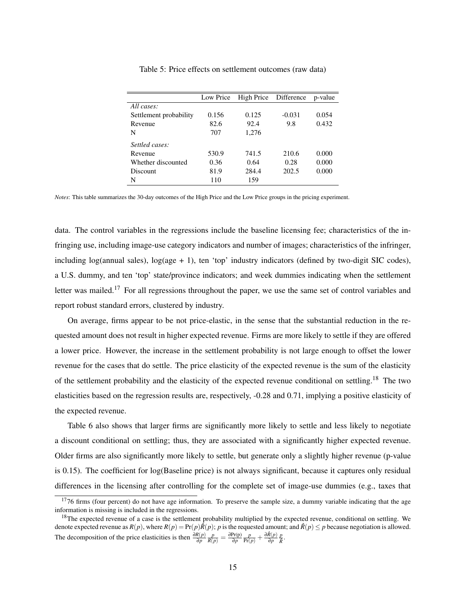|                        | Low Price |       | High Price Difference | p-value |
|------------------------|-----------|-------|-----------------------|---------|
| All cases:             |           |       |                       |         |
| Settlement probability | 0.156     | 0.125 | $-0.031$              | 0.054   |
| Revenue                | 82.6      | 92.4  | 9.8                   | 0.432   |
| N                      | 707       | 1,276 |                       |         |
| Settled cases:         |           |       |                       |         |
| Revenue                | 530.9     | 741.5 | 210.6                 | 0.000   |
| Whether discounted     | 0.36      | 0.64  | 0.28                  | 0.000   |
| Discount               | 81.9      | 284.4 | 202.5                 | 0.000   |
| N                      | 110       | 159   |                       |         |

Table 5: Price effects on settlement outcomes (raw data)

*Notes*: This table summarizes the 30-day outcomes of the High Price and the Low Price groups in the pricing experiment.

data. The control variables in the regressions include the baseline licensing fee; characteristics of the infringing use, including image-use category indicators and number of images; characteristics of the infringer, including log(annual sales),  $log(age + 1)$ , ten 'top' industry indicators (defined by two-digit SIC codes), a U.S. dummy, and ten 'top' state/province indicators; and week dummies indicating when the settlement letter was mailed.<sup>17</sup> For all regressions throughout the paper, we use the same set of control variables and report robust standard errors, clustered by industry.

On average, firms appear to be not price-elastic, in the sense that the substantial reduction in the requested amount does not result in higher expected revenue. Firms are more likely to settle if they are offered a lower price. However, the increase in the settlement probability is not large enough to offset the lower revenue for the cases that do settle. The price elasticity of the expected revenue is the sum of the elasticity of the settlement probability and the elasticity of the expected revenue conditional on settling.<sup>18</sup> The two elasticities based on the regression results are, respectively, -0.28 and 0.71, implying a positive elasticity of the expected revenue.

Table 6 also shows that larger firms are significantly more likely to settle and less likely to negotiate a discount conditional on settling; thus, they are associated with a significantly higher expected revenue. Older firms are also significantly more likely to settle, but generate only a slightly higher revenue (p-value is 0.15). The coefficient for log(Baseline price) is not always significant, because it captures only residual differences in the licensing after controlling for the complete set of image-use dummies (e.g., taxes that

 $1776$  firms (four percent) do not have age information. To preserve the sample size, a dummy variable indicating that the age information is missing is included in the regressions.

 $18$ The expected revenue of a case is the settlement probability multiplied by the expected revenue, conditional on settling. We denote expected revenue as  $R(p)$ , where  $R(p) = Pr(p)\hat{R}(p)$ ; *p* is the requested amount; and  $\hat{R}(p) \leq p$  because negotiation is allowed. The decomposition of the price elasticities is then  $\frac{\partial R(p)}{\partial p} \frac{p}{R(p)} = \frac{\partial Pr(p)}{\partial p} \frac{p}{Pr(p)} + \frac{\partial \hat{R}(p)}{\partial p}$  $rac{R(p)}{\partial p} \frac{p}{\hat{R}}$ .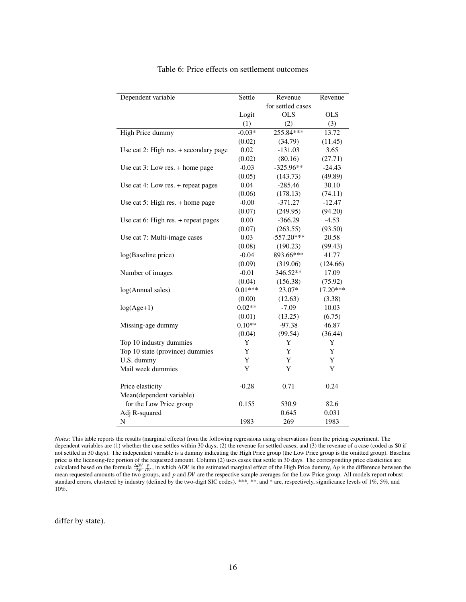| Dependent variable                      | Settle    | Revenue           | Revenue    |
|-----------------------------------------|-----------|-------------------|------------|
|                                         |           | for settled cases |            |
|                                         | Logit     | <b>OLS</b>        | <b>OLS</b> |
|                                         | (1)       | (2)               | (3)        |
| High Price dummy                        | $-0.03*$  | $255.84***$       | 13.72      |
|                                         | (0.02)    | (34.79)           | (11.45)    |
| Use cat 2: High res. $+$ secondary page | 0.02      | $-131.03$         | 3.65       |
|                                         | (0.02)    | (80.16)           | (27.71)    |
| Use cat $3$ : Low res. $+$ home page    | $-0.03$   | $-325.96**$       | $-24.43$   |
|                                         | (0.05)    | (143.73)          | (49.89)    |
| Use cat 4: Low res. + repeat pages      | 0.04      | $-285.46$         | 30.10      |
|                                         | (0.06)    | (178.13)          | (74.11)    |
| Use cat 5: High res. $+$ home page      | $-0.00$   | $-371.27$         | $-12.47$   |
|                                         | (0.07)    | (249.95)          | (94.20)    |
| Use cat 6: High res. $+$ repeat pages   | 0.00      | $-366.29$         | $-4.53$    |
|                                         | (0.07)    | (263.55)          | (93.50)    |
| Use cat 7: Multi-image cases            | 0.03      | $-557.20***$      | 20.58      |
|                                         | (0.08)    | (190.23)          | (99.43)    |
| log(Baseline price)                     | $-0.04$   | 893.66***         | 41.77      |
|                                         | (0.09)    | (319.06)          | (124.66)   |
| Number of images                        | $-0.01$   | 346.52**          | 17.09      |
|                                         | (0.04)    | (156.38)          | (75.92)    |
| log(Annual sales)                       | $0.01***$ | 23.07*            | 17.20***   |
|                                         | (0.00)    | (12.63)           | (3.38)     |
| $log(Age+1)$                            | $0.02**$  | $-7.09$           | 10.03      |
|                                         | (0.01)    | (13.25)           | (6.75)     |
| Missing-age dummy                       | $0.10**$  | $-97.38$          | 46.87      |
|                                         | (0.04)    | (99.54)           | (36.44)    |
| Top 10 industry dummies                 | Y         | Y                 | Y          |
| Top 10 state (province) dummies         | Y         | Y                 | Y          |
| U.S. dummy                              | Y         | Y                 | Y          |
| Mail week dummies                       | Y         | Y                 | Y          |
|                                         |           |                   |            |
| Price elasticity                        | $-0.28$   | 0.71              | 0.24       |
| Mean(dependent variable)                |           |                   |            |
| for the Low Price group                 | 0.155     | 530.9             | 82.6       |
| Adj R-squared                           |           | 0.645             | 0.031      |
| N                                       | 1983      | 269               | 1983       |

## Table 6: Price effects on settlement outcomes

*Notes*: This table reports the results (marginal effects) from the following regressions using observations from the pricing experiment. The dependent variables are (1) whether the case settles within 30 days; (2) the revenue for settled cases; and (3) the revenue of a case (coded as \$0 if not settled in 30 days). The independent variable is a dummy indicating the High Price group (the Low Price group is the omitted group). Baseline price is the licensing-fee portion of the requested amount. Column (2) uses cases that settle in 30 days. The corresponding price elasticities are calculated based on the formula  $\frac{\Delta DV}{\Delta p} \frac{p}{pv}$ , in which  $\Delta DV$  is the estimated marginal effect of the High Price dummy,  $\Delta p$  is the difference between the mean requested amounts of the two groups, and p and DV are standard errors, clustered by industry (defined by the two-digit SIC codes). \*\*\*, \*\*, and \* are, respectively, significance levels of 1%, 5%, and 10%.

differ by state).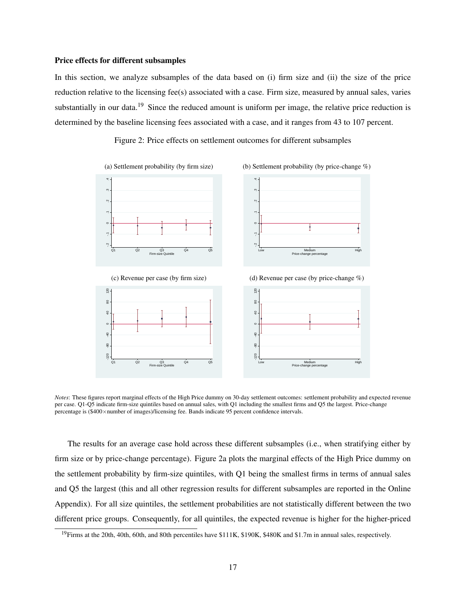#### Price effects for different subsamples

In this section, we analyze subsamples of the data based on (i) firm size and (ii) the size of the price reduction relative to the licensing fee(s) associated with a case. Firm size, measured by annual sales, varies substantially in our data.<sup>19</sup> Since the reduced amount is uniform per image, the relative price reduction is determined by the baseline licensing fees associated with a case, and it ranges from 43 to 107 percent.

Figure 2: Price effects on settlement outcomes for different subsamples



*Notes*: These figures report marginal effects of the High Price dummy on 30-day settlement outcomes: settlement probability and expected revenue per case. Q1-Q5 indicate firm-size quintiles based on annual sales, with Q1 including the smallest firms and Q5 the largest. Price-change percentage is (\$400×number of images)/licensing fee. Bands indicate 95 percent confidence intervals.

The results for an average case hold across these different subsamples (i.e., when stratifying either by firm size or by price-change percentage). Figure 2a plots the marginal effects of the High Price dummy on the settlement probability by firm-size quintiles, with Q1 being the smallest firms in terms of annual sales and Q5 the largest (this and all other regression results for different subsamples are reported in the Online Appendix). For all size quintiles, the settlement probabilities are not statistically different between the two different price groups. Consequently, for all quintiles, the expected revenue is higher for the higher-priced

<sup>&</sup>lt;sup>19</sup>Firms at the 20th, 40th, 60th, and 80th percentiles have \$111K, \$190K, \$480K and \$1.7m in annual sales, respectively.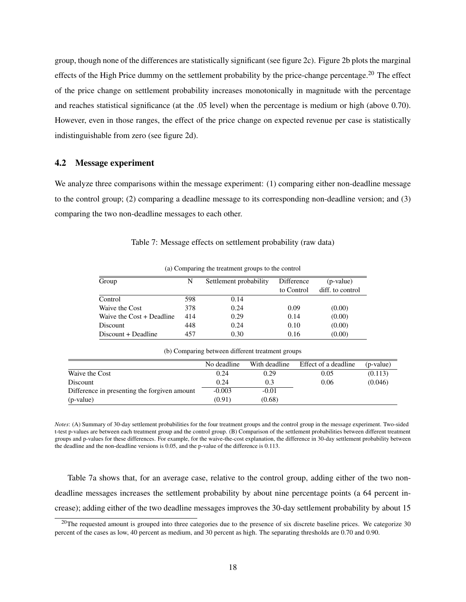group, though none of the differences are statistically significant (see figure 2c). Figure 2b plots the marginal effects of the High Price dummy on the settlement probability by the price-change percentage.<sup>20</sup> The effect of the price change on settlement probability increases monotonically in magnitude with the percentage and reaches statistical significance (at the .05 level) when the percentage is medium or high (above 0.70). However, even in those ranges, the effect of the price change on expected revenue per case is statistically indistinguishable from zero (see figure 2d).

### 4.2 Message experiment

We analyze three comparisons within the message experiment: (1) comparing either non-deadline message to the control group; (2) comparing a deadline message to its corresponding non-deadline version; and (3) comparing the two non-deadline messages to each other.

| Group                     | N   | Settlement probability | Difference | (p-value)        |  |  |  |
|---------------------------|-----|------------------------|------------|------------------|--|--|--|
|                           |     |                        | to Control | diff. to control |  |  |  |
| Control                   | 598 | 0.14                   |            |                  |  |  |  |
| Waive the Cost            | 378 | 0.24                   | 0.09       | (0.00)           |  |  |  |
| Waive the Cost + Deadline | 414 | 0.29                   | 0.14       | (0.00)           |  |  |  |
| Discount                  | 448 | 0.24                   | 0.10       | (0.00)           |  |  |  |
| Discount + Deadline       | 457 | 0.30                   | 0.16       | (0.00)           |  |  |  |

Table 7: Message effects on settlement probability (raw data)

| (b) Comparing between different treatment groups |             |               |                      |             |  |  |
|--------------------------------------------------|-------------|---------------|----------------------|-------------|--|--|
|                                                  | No deadline | With deadline | Effect of a deadline | $(p-value)$ |  |  |
| Waive the Cost                                   | 0.24        | 0.29          | 0.05                 | (0.113)     |  |  |
| Discount                                         | 0.24        | 0.3           | 0.06                 | (0.046)     |  |  |
| Difference in presenting the forgiven amount     | $-0.003$    | $-0.01$       |                      |             |  |  |
| (p-value)                                        | (0.91)      | (0.68)        |                      |             |  |  |

(a) Comparing the treatment groups to the control

*Notes*: (A) Summary of 30-day settlement probabilities for the four treatment groups and the control group in the message experiment. Two-sided t-test p-values are between each treatment group and the control group. (B) Comparison of the settlement probabilities between different treatment groups and p-values for these differences. For example, for the waive-the-cost explanation, the difference in 30-day settlement probability between the deadline and the non-deadline versions is 0.05, and the p-value of the difference is 0.113.

Table 7a shows that, for an average case, relative to the control group, adding either of the two nondeadline messages increases the settlement probability by about nine percentage points (a 64 percent increase); adding either of the two deadline messages improves the 30-day settlement probability by about 15

 $20$ The requested amount is grouped into three categories due to the presence of six discrete baseline prices. We categorize 30 percent of the cases as low, 40 percent as medium, and 30 percent as high. The separating thresholds are 0.70 and 0.90.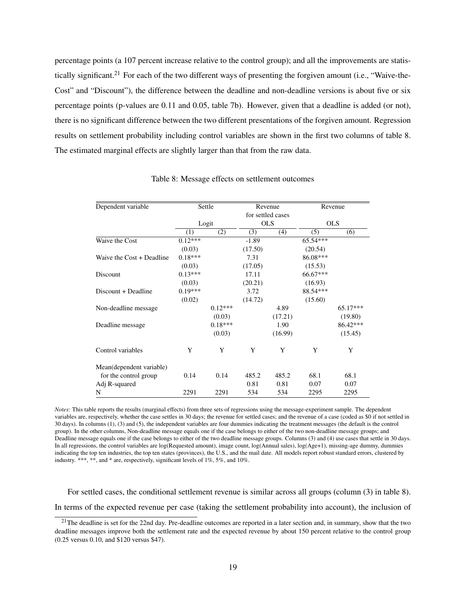percentage points (a 107 percent increase relative to the control group); and all the improvements are statistically significant.<sup>21</sup> For each of the two different ways of presenting the forgiven amount (i.e., "Waive-the-Cost" and "Discount"), the difference between the deadline and non-deadline versions is about five or six percentage points (p-values are 0.11 and 0.05, table 7b). However, given that a deadline is added (or not), there is no significant difference between the two different presentations of the forgiven amount. Regression results on settlement probability including control variables are shown in the first two columns of table 8. The estimated marginal effects are slightly larger than that from the raw data.

| Dependent variable        |           | Settle    |         | Revenue           | Revenue  |            |  |
|---------------------------|-----------|-----------|---------|-------------------|----------|------------|--|
|                           |           |           |         | for settled cases |          |            |  |
|                           |           | Logit     |         | <b>OLS</b>        |          | <b>OLS</b> |  |
|                           | (1)       | (2)       | (3)     | (4)               | (5)      | (6)        |  |
| Waive the Cost            | $0.12***$ |           | $-1.89$ |                   | 65.54*** |            |  |
|                           | (0.03)    |           | (17.50) |                   | (20.54)  |            |  |
| Waive the Cost + Deadline | $0.18***$ |           | 7.31    |                   | 86.08*** |            |  |
|                           | (0.03)    |           | (17.05) |                   | (15.53)  |            |  |
| Discount                  | $0.13***$ |           | 17.11   |                   | 66.67*** |            |  |
|                           | (0.03)    |           | (20.21) |                   | (16.93)  |            |  |
| Discount + Deadline       | $0.19***$ |           | 3.72    |                   | 88.54*** |            |  |
|                           | (0.02)    |           | (14.72) |                   | (15.60)  |            |  |
| Non-deadline message      |           | $0.12***$ |         | 4.89              |          | $65.17***$ |  |
|                           |           | (0.03)    |         | (17.21)           |          | (19.80)    |  |
| Deadline message          |           | $0.18***$ |         | 1.90              |          | 86.42***   |  |
|                           |           | (0.03)    |         | (16.99)           |          | (15.45)    |  |
| Control variables         | Y         | Y         | Y       | Y                 | Y        | Y          |  |
| Mean(dependent variable)  |           |           |         |                   |          |            |  |
| for the control group     | 0.14      | 0.14      | 485.2   | 485.2             | 68.1     | 68.1       |  |
| Adj R-squared             |           |           | 0.81    | 0.81              | 0.07     | 0.07       |  |
| N                         | 2291      | 2291      | 534     | 534               | 2295     | 2295       |  |

Table 8: Message effects on settlement outcomes

*Notes*: This table reports the results (marginal effects) from three sets of regressions using the message-experiment sample. The dependent variables are, respectively, whether the case settles in 30 days; the revenue for settled cases; and the revenue of a case (coded as \$0 if not settled in 30 days). In columns (1), (3) and (5), the independent variables are four dummies indicating the treatment messages (the default is the control group). In the other columns, Non-deadline message equals one if the case belongs to either of the two non-deadline message groups; and Deadline message equals one if the case belongs to either of the two deadline message groups. Columns (3) and (4) use cases that settle in 30 days. In all regressions, the control variables are log(Requested amount), image count, log(Annual sales), log(Age+1), missing-age dummy, dummies indicating the top ten industries, the top ten states (provinces), the U.S., and the mail date. All models report robust standard errors, clustered by industry. \*\*\*, \*\*, and \* are, respectively, significant levels of 1%, 5%, and 10%.

For settled cases, the conditional settlement revenue is similar across all groups (column (3) in table 8). In terms of the expected revenue per case (taking the settlement probability into account), the inclusion of

 $21$ The deadline is set for the 22nd day. Pre-deadline outcomes are reported in a later section and, in summary, show that the two deadline messages improve both the settlement rate and the expected revenue by about 150 percent relative to the control group (0.25 versus 0.10, and \$120 versus \$47).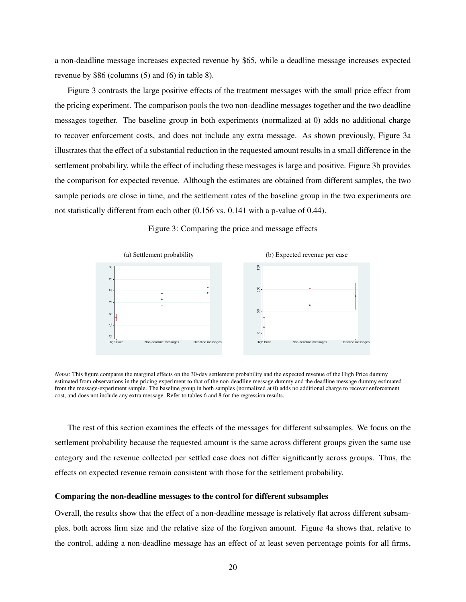a non-deadline message increases expected revenue by \$65, while a deadline message increases expected revenue by \$86 (columns (5) and (6) in table 8).

Figure 3 contrasts the large positive effects of the treatment messages with the small price effect from the pricing experiment. The comparison pools the two non-deadline messages together and the two deadline messages together. The baseline group in both experiments (normalized at 0) adds no additional charge to recover enforcement costs, and does not include any extra message. As shown previously, Figure 3a illustrates that the effect of a substantial reduction in the requested amount results in a small difference in the settlement probability, while the effect of including these messages is large and positive. Figure 3b provides the comparison for expected revenue. Although the estimates are obtained from different samples, the two sample periods are close in time, and the settlement rates of the baseline group in the two experiments are not statistically different from each other (0.156 vs. 0.141 with a p-value of 0.44).



Figure 3: Comparing the price and message effects

*Notes*: This figure compares the marginal effects on the 30-day settlement probability and the expected revenue of the High Price dummy estimated from observations in the pricing experiment to that of the non-deadline message dummy and the deadline message dummy estimated from the message-experiment sample. The baseline group in both samples (normalized at 0) adds no additional charge to recover enforcement cost, and does not include any extra message. Refer to tables 6 and 8 for the regression results.

The rest of this section examines the effects of the messages for different subsamples. We focus on the settlement probability because the requested amount is the same across different groups given the same use category and the revenue collected per settled case does not differ significantly across groups. Thus, the effects on expected revenue remain consistent with those for the settlement probability.

#### Comparing the non-deadline messages to the control for different subsamples

Overall, the results show that the effect of a non-deadline message is relatively flat across different subsamples, both across firm size and the relative size of the forgiven amount. Figure 4a shows that, relative to the control, adding a non-deadline message has an effect of at least seven percentage points for all firms,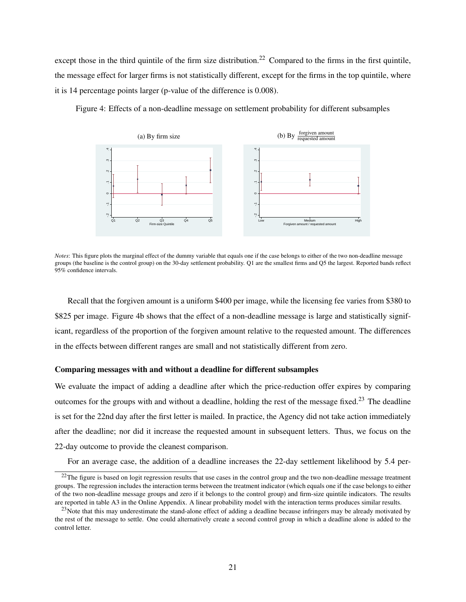except those in the third quintile of the firm size distribution.<sup>22</sup> Compared to the firms in the first quintile, the message effect for larger firms is not statistically different, except for the firms in the top quintile, where it is 14 percentage points larger (p-value of the difference is 0.008).



Figure 4: Effects of a non-deadline message on settlement probability for different subsamples

*Notes*: This figure plots the marginal effect of the dummy variable that equals one if the case belongs to either of the two non-deadline message groups (the baseline is the control group) on the 30-day settlement probability. Q1 are the smallest firms and Q5 the largest. Reported bands reflect 95% confidence intervals.

Recall that the forgiven amount is a uniform \$400 per image, while the licensing fee varies from \$380 to \$825 per image. Figure 4b shows that the effect of a non-deadline message is large and statistically significant, regardless of the proportion of the forgiven amount relative to the requested amount. The differences in the effects between different ranges are small and not statistically different from zero.

#### Comparing messages with and without a deadline for different subsamples

We evaluate the impact of adding a deadline after which the price-reduction offer expires by comparing outcomes for the groups with and without a deadline, holding the rest of the message fixed.<sup>23</sup> The deadline is set for the 22nd day after the first letter is mailed. In practice, the Agency did not take action immediately after the deadline; nor did it increase the requested amount in subsequent letters. Thus, we focus on the 22-day outcome to provide the cleanest comparison.

For an average case, the addition of a deadline increases the 22-day settlement likelihood by 5.4 per-

<sup>&</sup>lt;sup>22</sup>The figure is based on logit regression results that use cases in the control group and the two non-deadline message treatment groups. The regression includes the interaction terms between the treatment indicator (which equals one if the case belongs to either of the two non-deadline message groups and zero if it belongs to the control group) and firm-size quintile indicators. The results are reported in table A3 in the Online Appendix. A linear probability model with the interaction terms produces similar results.

 $23$ Note that this may underestimate the stand-alone effect of adding a deadline because infringers may be already motivated by the rest of the message to settle. One could alternatively create a second control group in which a deadline alone is added to the control letter.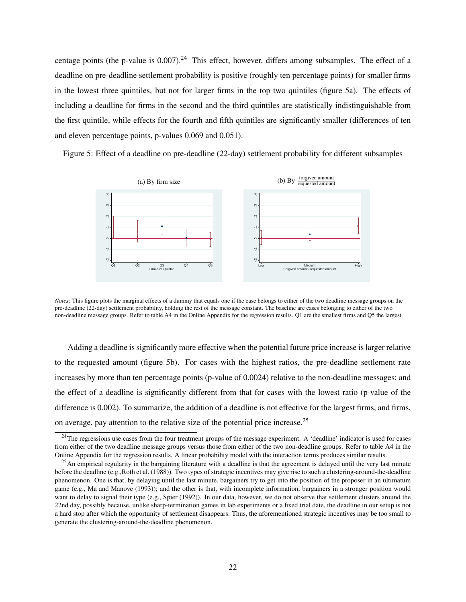centage points (the p-value is  $0.007$ ).<sup>24</sup> This effect, however, differs among subsamples. The effect of a deadline on pre-deadline settlement probability is positive (roughly ten percentage points) for smaller firms in the lowest three quintiles, but not for larger firms in the top two quintiles (figure 5a). The effects of including a deadline for firms in the second and the third quintiles are statistically indistinguishable from the first quintile, while effects for the fourth and fifth quintiles are significantly smaller (differences of ten and eleven percentage points, p-values 0.069 and 0.051).

Figure 5: Effect of a deadline on pre-deadline (22-day) settlement probability for different subsamples



*Notes*: This figure plots the marginal effects of a dummy that equals one if the case belongs to either of the two deadline message groups on the pre-deadline (22-day) settlement probability, holding the rest of the message constant. The baseline are cases belonging to either of the two non-deadline message groups. Refer to table A4 in the Online Appendix for the regression results. Q1 are the smallest firms and Q5 the largest.

Adding a deadline is significantly more effective when the potential future price increase is larger relative to the requested amount (figure 5b). For cases with the highest ratios, the pre-deadline settlement rate increases by more than ten percentage points (p-value of 0.0024) relative to the non-deadline messages; and the effect of a deadline is significantly different from that for cases with the lowest ratio (p-value of the difference is 0.002). To summarize, the addition of a deadline is not effective for the largest firms, and firms, on average, pay attention to the relative size of the potential price increase.<sup>25</sup>

<sup>&</sup>lt;sup>24</sup>The regressions use cases from the four treatment groups of the message experiment. A 'deadline' indicator is used for cases from either of the two deadline message groups versus those from either of the two non-deadline groups. Refer to table A4 in the Online Appendix for the regression results. A linear probability model with the interaction terms produces similar results.

<sup>&</sup>lt;sup>25</sup>An empirical regularity in the bargaining literature with a deadline is that the agreement is delayed until the very last minute before the deadline (e.g.,Roth et al. (1988)). Two types of strategic incentives may give rise to such a clustering-around-the-deadline phenomenon. One is that, by delaying until the last minute, bargainers try to get into the position of the proposer in an ultimatum game (e.g., Ma and Manove (1993)); and the other is that, with incomplete information, bargainers in a stronger position would want to delay to signal their type (e.g., Spier (1992)). In our data, however, we do not observe that settlement clusters around the 22nd day, possibly because, unlike sharp-termination games in lab experiments or a fixed trial date, the deadline in our setup is not a hard stop after which the opportunity of settlement disappears. Thus, the aforementioned strategic incentives may be too small to generate the clustering-around-the-deadline phenomenon.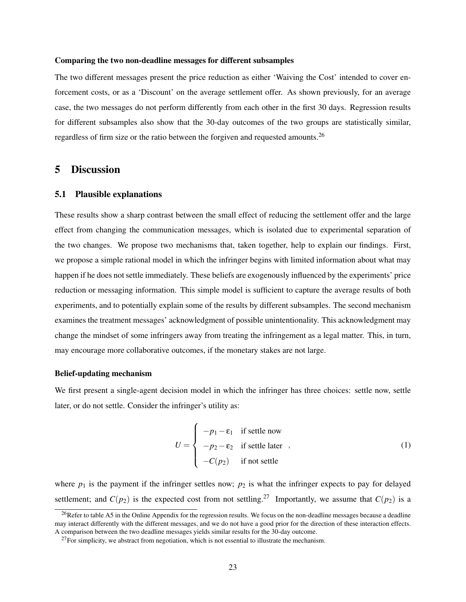#### Comparing the two non-deadline messages for different subsamples

The two different messages present the price reduction as either 'Waiving the Cost' intended to cover enforcement costs, or as a 'Discount' on the average settlement offer. As shown previously, for an average case, the two messages do not perform differently from each other in the first 30 days. Regression results for different subsamples also show that the 30-day outcomes of the two groups are statistically similar, regardless of firm size or the ratio between the forgiven and requested amounts.<sup>26</sup>

## 5 Discussion

#### 5.1 Plausible explanations

These results show a sharp contrast between the small effect of reducing the settlement offer and the large effect from changing the communication messages, which is isolated due to experimental separation of the two changes. We propose two mechanisms that, taken together, help to explain our findings. First, we propose a simple rational model in which the infringer begins with limited information about what may happen if he does not settle immediately. These beliefs are exogenously influenced by the experiments' price reduction or messaging information. This simple model is sufficient to capture the average results of both experiments, and to potentially explain some of the results by different subsamples. The second mechanism examines the treatment messages' acknowledgment of possible unintentionality. This acknowledgment may change the mindset of some infringers away from treating the infringement as a legal matter. This, in turn, may encourage more collaborative outcomes, if the monetary stakes are not large.

#### Belief-updating mechanism

We first present a single-agent decision model in which the infringer has three choices: settle now, settle later, or do not settle. Consider the infringer's utility as:

$$
U = \begin{cases}\n-p_1 - \varepsilon_1 & \text{if settle now} \\
-p_2 - \varepsilon_2 & \text{if settle later} \\
-C(p_2) & \text{if not settle}\n\end{cases}
$$
\n(1)

where  $p_1$  is the payment if the infringer settles now;  $p_2$  is what the infringer expects to pay for delayed settlement; and  $C(p_2)$  is the expected cost from not settling.<sup>27</sup> Importantly, we assume that  $C(p_2)$  is a

<sup>&</sup>lt;sup>26</sup>Refer to table A5 in the Online Appendix for the regression results. We focus on the non-deadline messages because a deadline may interact differently with the different messages, and we do not have a good prior for the direction of these interaction effects. A comparison between the two deadline messages yields similar results for the 30-day outcome.

 $^{27}$ For simplicity, we abstract from negotiation, which is not essential to illustrate the mechanism.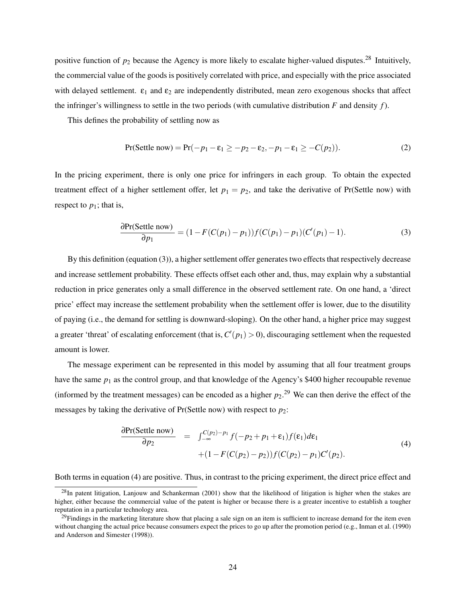positive function of  $p_2$  because the Agency is more likely to escalate higher-valued disputes.<sup>28</sup> Intuitively, the commercial value of the goods is positively correlated with price, and especially with the price associated with delayed settlement.  $\varepsilon_1$  and  $\varepsilon_2$  are independently distributed, mean zero exogenous shocks that affect the infringer's willingness to settle in the two periods (with cumulative distribution *F* and density *f*).

This defines the probability of settling now as

$$
Pr(\text{Settle now}) = Pr(-p_1 - \varepsilon_1 \ge -p_2 - \varepsilon_2, -p_1 - \varepsilon_1 \ge -C(p_2)).
$$
\n<sup>(2)</sup>

In the pricing experiment, there is only one price for infringers in each group. To obtain the expected treatment effect of a higher settlement offer, let  $p_1 = p_2$ , and take the derivative of Pr(Settle now) with respect to  $p_1$ ; that is,

$$
\frac{\partial \Pr(\text{Settle now})}{\partial p_1} = (1 - F(C(p_1) - p_1)) f(C(p_1) - p_1) (C'(p_1) - 1). \tag{3}
$$

By this definition (equation (3)), a higher settlement offer generates two effects that respectively decrease and increase settlement probability. These effects offset each other and, thus, may explain why a substantial reduction in price generates only a small difference in the observed settlement rate. On one hand, a 'direct price' effect may increase the settlement probability when the settlement offer is lower, due to the disutility of paying (i.e., the demand for settling is downward-sloping). On the other hand, a higher price may suggest a greater 'threat' of escalating enforcement (that is,  $C'(p_1) > 0$ ), discouraging settlement when the requested amount is lower.

The message experiment can be represented in this model by assuming that all four treatment groups have the same  $p_1$  as the control group, and that knowledge of the Agency's \$400 higher recoupable revenue (informed by the treatment messages) can be encoded as a higher  $p_2$ <sup>29</sup> We can then derive the effect of the messages by taking the derivative of Pr(Settle now) with respect to  $p_2$ :

$$
\frac{\partial \Pr(\text{Settle now})}{\partial p_2} = \int_{-\infty}^{C(p_2)-p_1} f(-p_2 + p_1 + \varepsilon_1) f(\varepsilon_1) d\varepsilon_1 + (1 - F(C(p_2) - p_2)) f(C(p_2) - p_1) C'(p_2).
$$
\n(4)

Both terms in equation (4) are positive. Thus, in contrast to the pricing experiment, the direct price effect and

 $^{28}$ In patent litigation, Lanjouw and Schankerman (2001) show that the likelihood of litigation is higher when the stakes are higher, either because the commercial value of the patent is higher or because there is a greater incentive to establish a tougher reputation in a particular technology area.

 $^{29}$ Findings in the marketing literature show that placing a sale sign on an item is sufficient to increase demand for the item even without changing the actual price because consumers expect the prices to go up after the promotion period (e.g., Inman et al. (1990) and Anderson and Simester (1998)).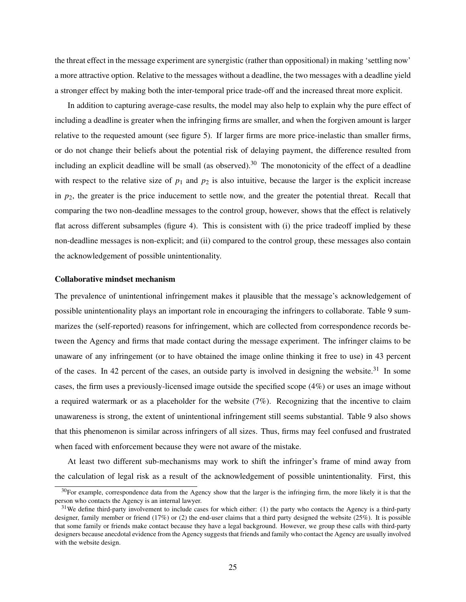the threat effect in the message experiment are synergistic (rather than oppositional) in making 'settling now' a more attractive option. Relative to the messages without a deadline, the two messages with a deadline yield a stronger effect by making both the inter-temporal price trade-off and the increased threat more explicit.

In addition to capturing average-case results, the model may also help to explain why the pure effect of including a deadline is greater when the infringing firms are smaller, and when the forgiven amount is larger relative to the requested amount (see figure 5). If larger firms are more price-inelastic than smaller firms, or do not change their beliefs about the potential risk of delaying payment, the difference resulted from including an explicit deadline will be small (as observed).<sup>30</sup> The monotonicity of the effect of a deadline with respect to the relative size of  $p_1$  and  $p_2$  is also intuitive, because the larger is the explicit increase in  $p_2$ , the greater is the price inducement to settle now, and the greater the potential threat. Recall that comparing the two non-deadline messages to the control group, however, shows that the effect is relatively flat across different subsamples (figure 4). This is consistent with (i) the price tradeoff implied by these non-deadline messages is non-explicit; and (ii) compared to the control group, these messages also contain the acknowledgement of possible unintentionality.

#### Collaborative mindset mechanism

The prevalence of unintentional infringement makes it plausible that the message's acknowledgement of possible unintentionality plays an important role in encouraging the infringers to collaborate. Table 9 summarizes the (self-reported) reasons for infringement, which are collected from correspondence records between the Agency and firms that made contact during the message experiment. The infringer claims to be unaware of any infringement (or to have obtained the image online thinking it free to use) in 43 percent of the cases. In 42 percent of the cases, an outside party is involved in designing the website.<sup>31</sup> In some cases, the firm uses a previously-licensed image outside the specified scope (4%) or uses an image without a required watermark or as a placeholder for the website (7%). Recognizing that the incentive to claim unawareness is strong, the extent of unintentional infringement still seems substantial. Table 9 also shows that this phenomenon is similar across infringers of all sizes. Thus, firms may feel confused and frustrated when faced with enforcement because they were not aware of the mistake.

At least two different sub-mechanisms may work to shift the infringer's frame of mind away from the calculation of legal risk as a result of the acknowledgement of possible unintentionality. First, this

<sup>&</sup>lt;sup>30</sup>For example, correspondence data from the Agency show that the larger is the infringing firm, the more likely it is that the person who contacts the Agency is an internal lawyer.

 $31$ We define third-party involvement to include cases for which either: (1) the party who contacts the Agency is a third-party designer, family member or friend (17%) or (2) the end-user claims that a third party designed the website (25%). It is possible that some family or friends make contact because they have a legal background. However, we group these calls with third-party designers because anecdotal evidence from the Agency suggests that friends and family who contact the Agency are usually involved with the website design.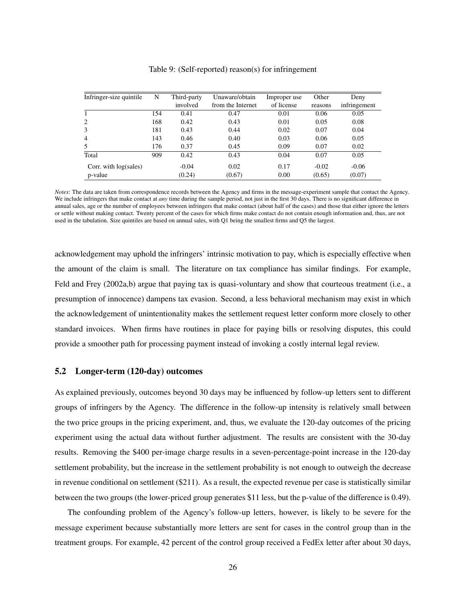| Infringer-size quintile | N   | Third-party | Unaware/obtain    | Improper use | Other   | Deny         |
|-------------------------|-----|-------------|-------------------|--------------|---------|--------------|
|                         |     | involved    | from the Internet | of license   | reasons | infringement |
|                         | 154 | 0.41        | 0.47              | 0.01         | 0.06    | 0.05         |
| 2                       | 168 | 0.42        | 0.43              | 0.01         | 0.05    | 0.08         |
| 3                       | 181 | 0.43        | 0.44              | 0.02         | 0.07    | 0.04         |
| $\overline{4}$          | 143 | 0.46        | 0.40              | 0.03         | 0.06    | 0.05         |
| 5                       | 176 | 0.37        | 0.45              | 0.09         | 0.07    | 0.02         |
| Total                   | 909 | 0.42        | 0.43              | 0.04         | 0.07    | 0.05         |
| Corr. with $log(sales)$ |     | $-0.04$     | 0.02              | 0.17         | $-0.02$ | $-0.06$      |
| p-value                 |     | (0.24)      | (0.67)            | 0.00         | (0.65)  | (0.07)       |

Table 9: (Self-reported) reason(s) for infringement

*Notes*: The data are taken from correspondence records between the Agency and firms in the message-experiment sample that contact the Agency. We include infringers that make contact at *any* time during the sample period, not just in the first 30 days. There is no significant difference in annual sales, age or the number of employees between infringers that make contact (about half of the cases) and those that either ignore the letters or settle without making contact. Twenty percent of the cases for which firms make contact do not contain enough information and, thus, are not used in the tabulation. Size quintiles are based on annual sales, with Q1 being the smallest firms and Q5 the largest.

acknowledgement may uphold the infringers' intrinsic motivation to pay, which is especially effective when the amount of the claim is small. The literature on tax compliance has similar findings. For example, Feld and Frey (2002a,b) argue that paying tax is quasi-voluntary and show that courteous treatment (i.e., a presumption of innocence) dampens tax evasion. Second, a less behavioral mechanism may exist in which the acknowledgement of unintentionality makes the settlement request letter conform more closely to other standard invoices. When firms have routines in place for paying bills or resolving disputes, this could provide a smoother path for processing payment instead of invoking a costly internal legal review.

### 5.2 Longer-term (120-day) outcomes

As explained previously, outcomes beyond 30 days may be influenced by follow-up letters sent to different groups of infringers by the Agency. The difference in the follow-up intensity is relatively small between the two price groups in the pricing experiment, and, thus, we evaluate the 120-day outcomes of the pricing experiment using the actual data without further adjustment. The results are consistent with the 30-day results. Removing the \$400 per-image charge results in a seven-percentage-point increase in the 120-day settlement probability, but the increase in the settlement probability is not enough to outweigh the decrease in revenue conditional on settlement (\$211). As a result, the expected revenue per case is statistically similar between the two groups (the lower-priced group generates \$11 less, but the p-value of the difference is 0.49).

The confounding problem of the Agency's follow-up letters, however, is likely to be severe for the message experiment because substantially more letters are sent for cases in the control group than in the treatment groups. For example, 42 percent of the control group received a FedEx letter after about 30 days,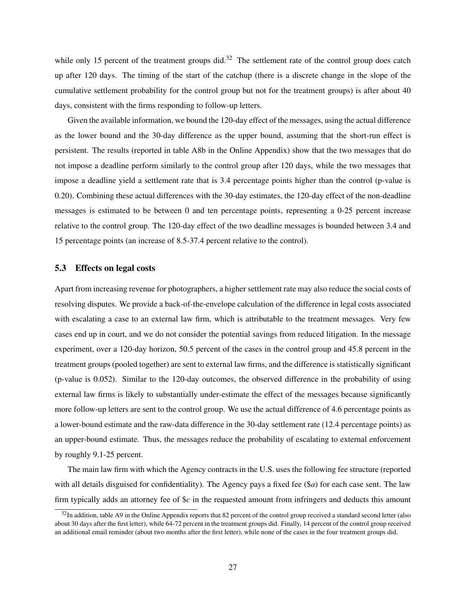while only 15 percent of the treatment groups did.<sup>32</sup> The settlement rate of the control group does catch up after 120 days. The timing of the start of the catchup (there is a discrete change in the slope of the cumulative settlement probability for the control group but not for the treatment groups) is after about 40 days, consistent with the firms responding to follow-up letters.

Given the available information, we bound the 120-day effect of the messages, using the actual difference as the lower bound and the 30-day difference as the upper bound, assuming that the short-run effect is persistent. The results (reported in table A8b in the Online Appendix) show that the two messages that do not impose a deadline perform similarly to the control group after 120 days, while the two messages that impose a deadline yield a settlement rate that is 3.4 percentage points higher than the control (p-value is 0.20). Combining these actual differences with the 30-day estimates, the 120-day effect of the non-deadline messages is estimated to be between 0 and ten percentage points, representing a 0-25 percent increase relative to the control group. The 120-day effect of the two deadline messages is bounded between 3.4 and 15 percentage points (an increase of 8.5-37.4 percent relative to the control).

## 5.3 Effects on legal costs

Apart from increasing revenue for photographers, a higher settlement rate may also reduce the social costs of resolving disputes. We provide a back-of-the-envelope calculation of the difference in legal costs associated with escalating a case to an external law firm, which is attributable to the treatment messages. Very few cases end up in court, and we do not consider the potential savings from reduced litigation. In the message experiment, over a 120-day horizon, 50.5 percent of the cases in the control group and 45.8 percent in the treatment groups (pooled together) are sent to external law firms, and the difference is statistically significant (p-value is 0.052). Similar to the 120-day outcomes, the observed difference in the probability of using external law firms is likely to substantially under-estimate the effect of the messages because significantly more follow-up letters are sent to the control group. We use the actual difference of 4.6 percentage points as a lower-bound estimate and the raw-data difference in the 30-day settlement rate (12.4 percentage points) as an upper-bound estimate. Thus, the messages reduce the probability of escalating to external enforcement by roughly 9.1-25 percent.

The main law firm with which the Agency contracts in the U.S. uses the following fee structure (reported with all details disguised for confidentiality). The Agency pays a fixed fee (\$*a*) for each case sent. The law firm typically adds an attorney fee of \$*c* in the requested amount from infringers and deducts this amount

 $32$ In addition, table A9 in the Online Appendix reports that 82 percent of the control group received a standard second letter (also about 30 days after the first letter), while 64-72 percent in the treatment groups did. Finally, 14 percent of the control group received an additional email reminder (about two months after the first letter), while none of the cases in the four treatment groups did.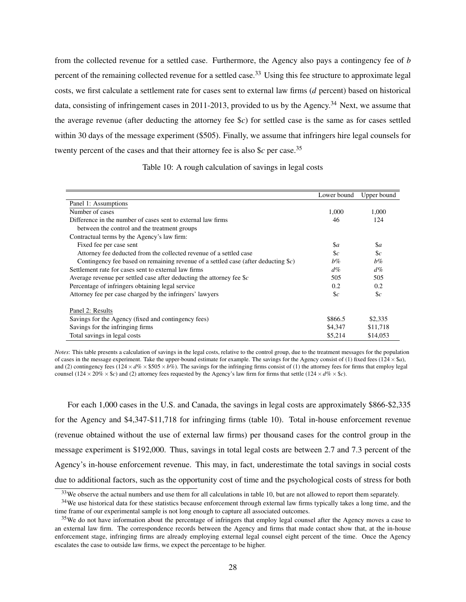from the collected revenue for a settled case. Furthermore, the Agency also pays a contingency fee of *b* percent of the remaining collected revenue for a settled case.<sup>33</sup> Using this fee structure to approximate legal costs, we first calculate a settlement rate for cases sent to external law firms (*d* percent) based on historical data, consisting of infringement cases in 2011-2013, provided to us by the Agency.<sup>34</sup> Next, we assume that the average revenue (after deducting the attorney fee \$*c*) for settled case is the same as for cases settled within 30 days of the message experiment (\$505). Finally, we assume that infringers hire legal counsels for twenty percent of the cases and that their attorney fee is also \$*c* per case.<sup>35</sup>

|                                                                                       | Lower bound    | Upper bound    |
|---------------------------------------------------------------------------------------|----------------|----------------|
| Panel 1: Assumptions                                                                  |                |                |
| Number of cases                                                                       | 1.000          | 1.000          |
| Difference in the number of cases sent to external law firms                          | 46             | 124            |
| between the control and the treatment groups                                          |                |                |
| Contractual terms by the Agency's law firm:                                           |                |                |
| Fixed fee per case sent                                                               | $\mathcal{S}a$ | $\$a$          |
| Attorney fee deducted from the collected revenue of a settled case                    | $\mathcal{S}c$ | $\mathcal{S}c$ |
| Contingency fee based on remaining revenue of a settled case (after deducting $\&c$ ) | $b\%$          | $b\%$          |
| Settlement rate for cases sent to external law firms                                  | $d\%$          | $d\%$          |
| Average revenue per settled case after deducting the attorney fee $c$                 | 505            | 505            |
| Percentage of infringers obtaining legal service                                      | 0.2            | 0.2            |
| Attorney fee per case charged by the infringers' lawyers                              | $\mathcal{S}c$ | $\mathcal{S}c$ |
| Panel 2: Results                                                                      |                |                |
| Savings for the Agency (fixed and contingency fees)                                   | \$866.5        | \$2,335        |
| Savings for the infringing firms                                                      | \$4,347        | \$11,718       |
| Total savings in legal costs                                                          | \$5,214        | \$14,053       |

Table 10: A rough calculation of savings in legal costs

*Notes*: This table presents a calculation of savings in the legal costs, relative to the control group, due to the treatment messages for the population of cases in the message experiment. Take the upper-bound estimate for example. The savings for the Agency consist of (1) fixed fees ( $124 \times \$a$ ), and (2) contingency fees ( $124 \times d\% \times $505 \times b\%$ ). The savings for the infringing firms consist of (1) the attorney fees for firms that employ legal counsel ( $124 \times 20\% \times$  \$*c*) and (2) attorney fees requested by the Agency's law firm for firms that settle ( $124 \times d\% \times$  \$*c*).

For each 1,000 cases in the U.S. and Canada, the savings in legal costs are approximately \$866-\$2,335 for the Agency and \$4,347-\$11,718 for infringing firms (table 10). Total in-house enforcement revenue (revenue obtained without the use of external law firms) per thousand cases for the control group in the message experiment is \$192,000. Thus, savings in total legal costs are between 2.7 and 7.3 percent of the Agency's in-house enforcement revenue. This may, in fact, underestimate the total savings in social costs due to additional factors, such as the opportunity cost of time and the psychological costs of stress for both

 $33$ We observe the actual numbers and use them for all calculations in table 10, but are not allowed to report them separately.

 $34$ We use historical data for these statistics because enforcement through external law firms typically takes a long time, and the time frame of our experimental sample is not long enough to capture all associated outcomes.

<sup>&</sup>lt;sup>35</sup>We do not have information about the percentage of infringers that employ legal counsel after the Agency moves a case to an external law firm. The correspondence records between the Agency and firms that made contact show that, at the in-house enforcement stage, infringing firms are already employing external legal counsel eight percent of the time. Once the Agency escalates the case to outside law firms, we expect the percentage to be higher.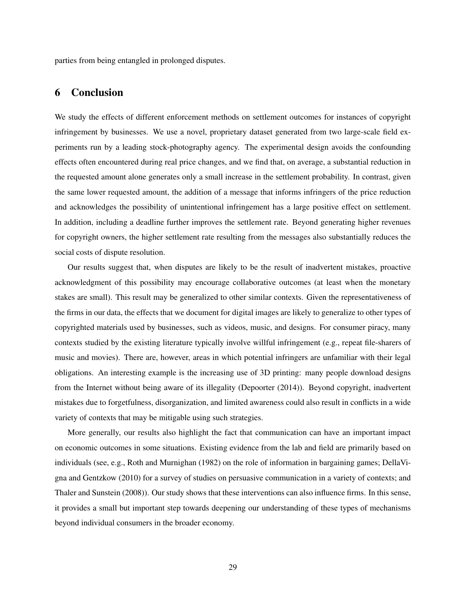parties from being entangled in prolonged disputes.

## 6 Conclusion

We study the effects of different enforcement methods on settlement outcomes for instances of copyright infringement by businesses. We use a novel, proprietary dataset generated from two large-scale field experiments run by a leading stock-photography agency. The experimental design avoids the confounding effects often encountered during real price changes, and we find that, on average, a substantial reduction in the requested amount alone generates only a small increase in the settlement probability. In contrast, given the same lower requested amount, the addition of a message that informs infringers of the price reduction and acknowledges the possibility of unintentional infringement has a large positive effect on settlement. In addition, including a deadline further improves the settlement rate. Beyond generating higher revenues for copyright owners, the higher settlement rate resulting from the messages also substantially reduces the social costs of dispute resolution.

Our results suggest that, when disputes are likely to be the result of inadvertent mistakes, proactive acknowledgment of this possibility may encourage collaborative outcomes (at least when the monetary stakes are small). This result may be generalized to other similar contexts. Given the representativeness of the firms in our data, the effects that we document for digital images are likely to generalize to other types of copyrighted materials used by businesses, such as videos, music, and designs. For consumer piracy, many contexts studied by the existing literature typically involve willful infringement (e.g., repeat file-sharers of music and movies). There are, however, areas in which potential infringers are unfamiliar with their legal obligations. An interesting example is the increasing use of 3D printing: many people download designs from the Internet without being aware of its illegality (Depoorter (2014)). Beyond copyright, inadvertent mistakes due to forgetfulness, disorganization, and limited awareness could also result in conflicts in a wide variety of contexts that may be mitigable using such strategies.

More generally, our results also highlight the fact that communication can have an important impact on economic outcomes in some situations. Existing evidence from the lab and field are primarily based on individuals (see, e.g., Roth and Murnighan (1982) on the role of information in bargaining games; DellaVigna and Gentzkow (2010) for a survey of studies on persuasive communication in a variety of contexts; and Thaler and Sunstein (2008)). Our study shows that these interventions can also influence firms. In this sense, it provides a small but important step towards deepening our understanding of these types of mechanisms beyond individual consumers in the broader economy.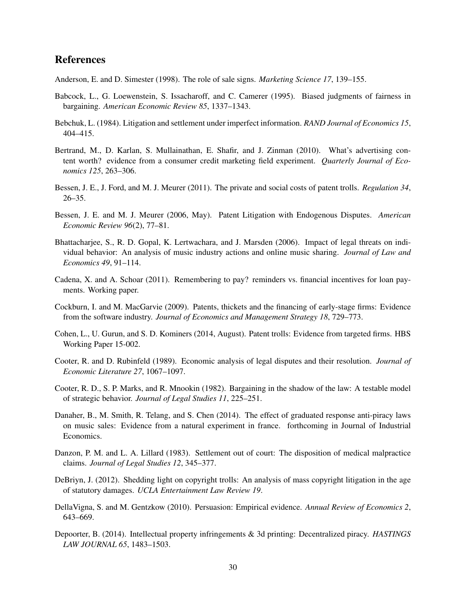## References

- Anderson, E. and D. Simester (1998). The role of sale signs. *Marketing Science 17*, 139–155.
- Babcock, L., G. Loewenstein, S. Issacharoff, and C. Camerer (1995). Biased judgments of fairness in bargaining. *American Economic Review 85*, 1337–1343.
- Bebchuk, L. (1984). Litigation and settlement under imperfect information. *RAND Journal of Economics 15*, 404–415.
- Bertrand, M., D. Karlan, S. Mullainathan, E. Shafir, and J. Zinman (2010). What's advertising content worth? evidence from a consumer credit marketing field experiment. *Quarterly Journal of Economics 125*, 263–306.
- Bessen, J. E., J. Ford, and M. J. Meurer (2011). The private and social costs of patent trolls. *Regulation 34*, 26–35.
- Bessen, J. E. and M. J. Meurer (2006, May). Patent Litigation with Endogenous Disputes. *American Economic Review 96*(2), 77–81.
- Bhattacharjee, S., R. D. Gopal, K. Lertwachara, and J. Marsden (2006). Impact of legal threats on individual behavior: An analysis of music industry actions and online music sharing. *Journal of Law and Economics 49*, 91–114.
- Cadena, X. and A. Schoar (2011). Remembering to pay? reminders vs. financial incentives for loan payments. Working paper.
- Cockburn, I. and M. MacGarvie (2009). Patents, thickets and the financing of early-stage firms: Evidence from the software industry. *Journal of Economics and Management Strategy 18*, 729–773.
- Cohen, L., U. Gurun, and S. D. Kominers (2014, August). Patent trolls: Evidence from targeted firms. HBS Working Paper 15-002.
- Cooter, R. and D. Rubinfeld (1989). Economic analysis of legal disputes and their resolution. *Journal of Economic Literature 27*, 1067–1097.
- Cooter, R. D., S. P. Marks, and R. Mnookin (1982). Bargaining in the shadow of the law: A testable model of strategic behavior. *Journal of Legal Studies 11*, 225–251.
- Danaher, B., M. Smith, R. Telang, and S. Chen (2014). The effect of graduated response anti-piracy laws on music sales: Evidence from a natural experiment in france. forthcoming in Journal of Industrial Economics.
- Danzon, P. M. and L. A. Lillard (1983). Settlement out of court: The disposition of medical malpractice claims. *Journal of Legal Studies 12*, 345–377.
- DeBriyn, J. (2012). Shedding light on copyright trolls: An analysis of mass copyright litigation in the age of statutory damages. *UCLA Entertainment Law Review 19*.
- DellaVigna, S. and M. Gentzkow (2010). Persuasion: Empirical evidence. *Annual Review of Economics 2*, 643–669.
- Depoorter, B. (2014). Intellectual property infringements & 3d printing: Decentralized piracy. *HASTINGS LAW JOURNAL 65*, 1483–1503.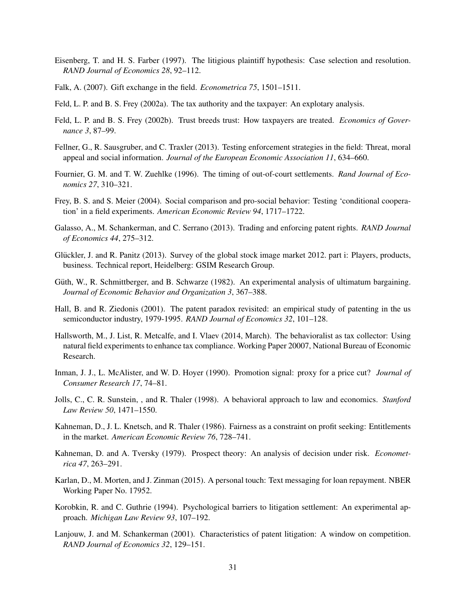- Eisenberg, T. and H. S. Farber (1997). The litigious plaintiff hypothesis: Case selection and resolution. *RAND Journal of Economics 28*, 92–112.
- Falk, A. (2007). Gift exchange in the field. *Econometrica 75*, 1501–1511.
- Feld, L. P. and B. S. Frey (2002a). The tax authority and the taxpayer: An explotary analysis.
- Feld, L. P. and B. S. Frey (2002b). Trust breeds trust: How taxpayers are treated. *Economics of Governance 3*, 87–99.
- Fellner, G., R. Sausgruber, and C. Traxler (2013). Testing enforcement strategies in the field: Threat, moral appeal and social information. *Journal of the European Economic Association 11*, 634–660.
- Fournier, G. M. and T. W. Zuehlke (1996). The timing of out-of-court settlements. *Rand Journal of Economics 27*, 310–321.
- Frey, B. S. and S. Meier (2004). Social comparison and pro-social behavior: Testing 'conditional cooperation' in a field experiments. *American Economic Review 94*, 1717–1722.
- Galasso, A., M. Schankerman, and C. Serrano (2013). Trading and enforcing patent rights. *RAND Journal of Economics 44*, 275–312.
- Glückler, J. and R. Panitz (2013). Survey of the global stock image market 2012. part i: Players, products, business. Technical report, Heidelberg: GSIM Research Group.
- Güth, W., R. Schmittberger, and B. Schwarze (1982). An experimental analysis of ultimatum bargaining. *Journal of Economic Behavior and Organization 3*, 367–388.
- Hall, B. and R. Ziedonis (2001). The patent paradox revisited: an empirical study of patenting in the us semiconductor industry, 1979-1995. *RAND Journal of Economics 32*, 101–128.
- Hallsworth, M., J. List, R. Metcalfe, and I. Vlaev (2014, March). The behavioralist as tax collector: Using natural field experiments to enhance tax compliance. Working Paper 20007, National Bureau of Economic Research.
- Inman, J. J., L. McAlister, and W. D. Hoyer (1990). Promotion signal: proxy for a price cut? *Journal of Consumer Research 17*, 74–81.
- Jolls, C., C. R. Sunstein, , and R. Thaler (1998). A behavioral approach to law and economics. *Stanford Law Review 50*, 1471–1550.
- Kahneman, D., J. L. Knetsch, and R. Thaler (1986). Fairness as a constraint on profit seeking: Entitlements in the market. *American Economic Review 76*, 728–741.
- Kahneman, D. and A. Tversky (1979). Prospect theory: An analysis of decision under risk. *Econometrica 47*, 263–291.
- Karlan, D., M. Morten, and J. Zinman (2015). A personal touch: Text messaging for loan repayment. NBER Working Paper No. 17952.
- Korobkin, R. and C. Guthrie (1994). Psychological barriers to litigation settlement: An experimental approach. *Michigan Law Review 93*, 107–192.
- Lanjouw, J. and M. Schankerman (2001). Characteristics of patent litigation: A window on competition. *RAND Journal of Economics 32*, 129–151.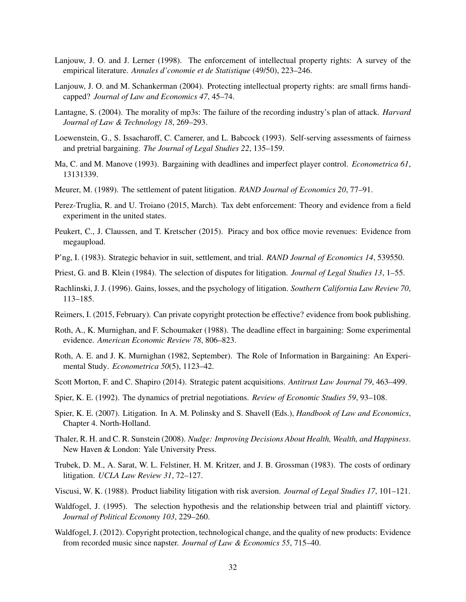- Lanjouw, J. O. and J. Lerner (1998). The enforcement of intellectual property rights: A survey of the empirical literature. *Annales d'conomie et de Statistique* (49/50), 223–246.
- Lanjouw, J. O. and M. Schankerman (2004). Protecting intellectual property rights: are small firms handicapped? *Journal of Law and Economics 47*, 45–74.
- Lantagne, S. (2004). The morality of mp3s: The failure of the recording industry's plan of attack. *Harvard Journal of Law & Technology 18*, 269–293.
- Loewenstein, G., S. Issacharoff, C. Camerer, and L. Babcock (1993). Self-serving assessments of fairness and pretrial bargaining. *The Journal of Legal Studies 22*, 135–159.
- Ma, C. and M. Manove (1993). Bargaining with deadlines and imperfect player control. *Econometrica 61*, 13131339.
- Meurer, M. (1989). The settlement of patent litigation. *RAND Journal of Economics 20*, 77–91.
- Perez-Truglia, R. and U. Troiano (2015, March). Tax debt enforcement: Theory and evidence from a field experiment in the united states.
- Peukert, C., J. Claussen, and T. Kretscher (2015). Piracy and box office movie revenues: Evidence from megaupload.
- P'ng, I. (1983). Strategic behavior in suit, settlement, and trial. *RAND Journal of Economics 14*, 539550.
- Priest, G. and B. Klein (1984). The selection of disputes for litigation. *Journal of Legal Studies 13*, 1–55.
- Rachlinski, J. J. (1996). Gains, losses, and the psychology of litigation. *Southern California Law Review 70*, 113–185.
- Reimers, I. (2015, February). Can private copyright protection be effective? evidence from book publishing.
- Roth, A., K. Murnighan, and F. Schoumaker (1988). The deadline effect in bargaining: Some experimental evidence. *American Economic Review 78*, 806–823.
- Roth, A. E. and J. K. Murnighan (1982, September). The Role of Information in Bargaining: An Experimental Study. *Econometrica 50*(5), 1123–42.
- Scott Morton, F. and C. Shapiro (2014). Strategic patent acquisitions. *Antitrust Law Journal 79*, 463–499.
- Spier, K. E. (1992). The dynamics of pretrial negotiations. *Review of Economic Studies 59*, 93–108.
- Spier, K. E. (2007). Litigation. In A. M. Polinsky and S. Shavell (Eds.), *Handbook of Law and Economics*, Chapter 4. North-Holland.
- Thaler, R. H. and C. R. Sunstein (2008). *Nudge: Improving Decisions About Health, Wealth, and Happiness*. New Haven & London: Yale University Press.
- Trubek, D. M., A. Sarat, W. L. Felstiner, H. M. Kritzer, and J. B. Grossman (1983). The costs of ordinary litigation. *UCLA Law Review 31*, 72–127.
- Viscusi, W. K. (1988). Product liability litigation with risk aversion. *Journal of Legal Studies 17*, 101–121.
- Waldfogel, J. (1995). The selection hypothesis and the relationship between trial and plaintiff victory. *Journal of Political Economy 103*, 229–260.
- Waldfogel, J. (2012). Copyright protection, technological change, and the quality of new products: Evidence from recorded music since napster. *Journal of Law & Economics 55*, 715–40.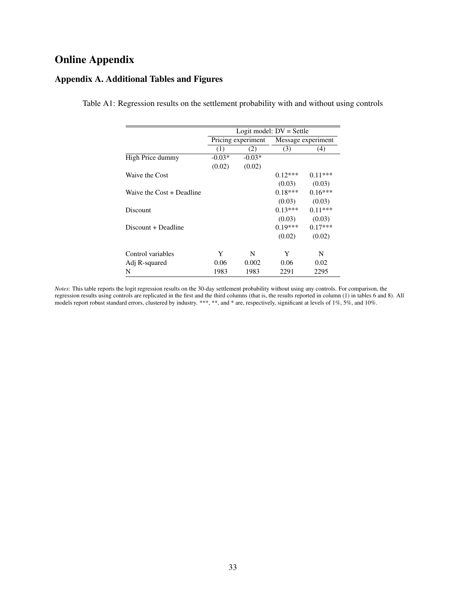# Online Appendix

## Appendix A. Additional Tables and Figures

|                           | Logit model: $DV = Settle$ |                    |           |                    |  |  |  |  |  |
|---------------------------|----------------------------|--------------------|-----------|--------------------|--|--|--|--|--|
|                           |                            | Pricing experiment |           | Message experiment |  |  |  |  |  |
|                           | (1)                        | (2)                | (3)       | (4)                |  |  |  |  |  |
| High Price dummy          | $-0.03*$                   | $-0.03*$           |           |                    |  |  |  |  |  |
|                           | (0.02)                     | (0.02)             |           |                    |  |  |  |  |  |
| Waive the Cost            |                            |                    | $0.12***$ | $0.11***$          |  |  |  |  |  |
|                           |                            |                    | (0.03)    | (0.03)             |  |  |  |  |  |
| Waive the Cost + Deadline |                            |                    | $0.18***$ | $0.16***$          |  |  |  |  |  |
|                           |                            |                    | (0.03)    | (0.03)             |  |  |  |  |  |
| Discount                  |                            |                    | $0.13***$ | $0.11***$          |  |  |  |  |  |
|                           |                            |                    | (0.03)    | (0.03)             |  |  |  |  |  |
| Discount + Deadline       |                            |                    | $0.19***$ | $0.17***$          |  |  |  |  |  |
|                           |                            |                    | (0.02)    | (0.02)             |  |  |  |  |  |
| Control variables         | Y                          | N                  | Y         | N                  |  |  |  |  |  |
| Adj R-squared             | 0.06                       | 0.002              | 0.06      | 0.02               |  |  |  |  |  |
| N                         | 1983                       | 1983               | 2291      | 2295               |  |  |  |  |  |

Table A1: Regression results on the settlement probability with and without using controls

*Notes*: This table reports the logit regression results on the 30-day settlement probability without using any controls. For comparison, the regression results using controls are replicated in the first and the third columns (that is, the results reported in column (1) in tables 6 and 8). All models report robust standard errors, clustered by industry. \*\*\*, \*\*, and \* are, respectively, significant at levels of 1%, 5%, and 10%.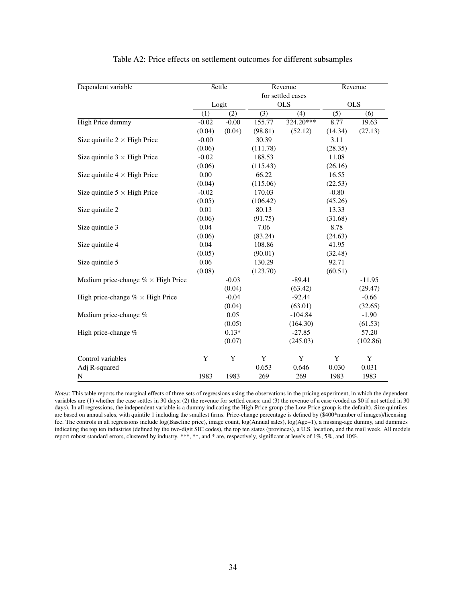| Dependent variable                         |         | Settle<br>Revenue<br>for settled cases |          |             |             | Revenue  |  |
|--------------------------------------------|---------|----------------------------------------|----------|-------------|-------------|----------|--|
|                                            |         | Logit                                  |          | <b>OLS</b>  | <b>OLS</b>  |          |  |
|                                            | (1)     | (2)                                    | (3)      | (4)         | (5)         | (6)      |  |
| High Price dummy                           | $-0.02$ | $-0.00$                                | 155.77   | 324.20***   | 8.77        | 19.63    |  |
|                                            | (0.04)  | (0.04)                                 | (98.81)  | (52.12)     | (14.34)     | (27.13)  |  |
| Size quintile $2 \times$ High Price        | $-0.00$ |                                        | 30.39    |             | 3.11        |          |  |
|                                            | (0.06)  |                                        | (111.78) |             | (28.35)     |          |  |
| Size quintile $3 \times$ High Price        | $-0.02$ |                                        | 188.53   |             | 11.08       |          |  |
|                                            | (0.06)  |                                        | (115.43) |             | (26.16)     |          |  |
| Size quintile $4 \times$ High Price        | 0.00    |                                        | 66.22    |             | 16.55       |          |  |
|                                            | (0.04)  |                                        | (115.06) |             | (22.53)     |          |  |
| Size quintile $5 \times$ High Price        | $-0.02$ |                                        | 170.03   |             | $-0.80$     |          |  |
|                                            | (0.05)  |                                        | (106.42) |             | (45.26)     |          |  |
| Size quintile 2                            | 0.01    |                                        | 80.13    |             | 13.33       |          |  |
|                                            | (0.06)  |                                        | (91.75)  |             | (31.68)     |          |  |
| Size quintile 3                            | 0.04    |                                        | 7.06     |             | 8.78        |          |  |
|                                            | (0.06)  |                                        | (83.24)  |             | (24.63)     |          |  |
| Size quintile 4                            | 0.04    |                                        | 108.86   |             | 41.95       |          |  |
|                                            | (0.05)  |                                        | (90.01)  |             | (32.48)     |          |  |
| Size quintile 5                            | 0.06    |                                        | 130.29   |             | 92.71       |          |  |
|                                            | (0.08)  |                                        | (123.70) |             | (60.51)     |          |  |
| Medium price-change $\% \times$ High Price |         | $-0.03$                                |          | $-89.41$    |             | $-11.95$ |  |
|                                            |         | (0.04)                                 |          | (63.42)     |             | (29.47)  |  |
| High price-change $\% \times$ High Price   |         | $-0.04$                                |          | $-92.44$    |             | $-0.66$  |  |
|                                            |         | (0.04)                                 |          | (63.01)     |             | (32.65)  |  |
| Medium price-change %                      |         | 0.05                                   |          | $-104.84$   |             | $-1.90$  |  |
|                                            |         | (0.05)                                 |          | (164.30)    |             | (61.53)  |  |
| High price-change %                        |         | $0.13*$                                |          | $-27.85$    |             | 57.20    |  |
|                                            |         | (0.07)                                 |          | (245.03)    |             | (102.86) |  |
| Control variables                          | Y       | Y                                      | Y        | $\mathbf Y$ | $\mathbf Y$ | Y        |  |
| Adj R-squared                              |         |                                        | 0.653    | 0.646       | 0.030       | 0.031    |  |
| N                                          | 1983    | 1983                                   | 269      | 269         | 1983        | 1983     |  |

Table A2: Price effects on settlement outcomes for different subsamples

*Notes*: This table reports the marginal effects of three sets of regressions using the observations in the pricing experiment, in which the dependent variables are (1) whether the case settles in 30 days; (2) the revenue for settled cases; and (3) the revenue of a case (coded as \$0 if not settled in 30 days). In all regressions, the independent variable is a dummy indicating the High Price group (the Low Price group is the default). Size quintiles are based on annual sales, with quintile 1 including the smallest firms. Price-change percentage is defined by (\$400\*number of images)/licensing fee. The controls in all regressions include log(Baseline price), image count, log(Annual sales), log(Age+1), a missing-age dummy, and dummies indicating the top ten industries (defined by the two-digit SIC codes), the top ten states (provinces), a U.S. location, and the mail week. All models report robust standard errors, clustered by industry. \*\*\*, \*\*, and \* are, respectively, significant at levels of 1%, 5%, and 10%.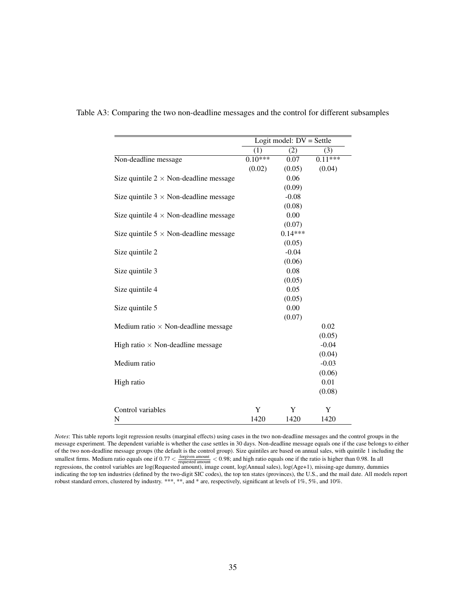|                                               |           | Logit model: $DV = Settle$ |                      |
|-----------------------------------------------|-----------|----------------------------|----------------------|
|                                               | (1)       | (2)                        | (3)                  |
| Non-deadline message                          | $0.10***$ | 0.07                       | $0.\overline{11***}$ |
|                                               | (0.02)    | (0.05)                     | (0.04)               |
| Size quintile $2 \times$ Non-deadline message |           | 0.06                       |                      |
|                                               |           | (0.09)                     |                      |
| Size quintile $3 \times$ Non-deadline message |           | $-0.08$                    |                      |
|                                               |           | (0.08)                     |                      |
| Size quintile $4 \times$ Non-deadline message |           | 0.00                       |                      |
|                                               |           | (0.07)                     |                      |
| Size quintile $5 \times$ Non-deadline message |           | $0.14***$                  |                      |
|                                               |           | (0.05)                     |                      |
| Size quintile 2                               |           | $-0.04$                    |                      |
|                                               |           | (0.06)                     |                      |
| Size quintile 3                               |           | 0.08                       |                      |
|                                               |           | (0.05)                     |                      |
| Size quintile 4                               |           | 0.05                       |                      |
|                                               |           | (0.05)                     |                      |
| Size quintile 5                               |           | 0.00                       |                      |
|                                               |           | (0.07)                     |                      |
| Medium ratio $\times$ Non-deadline message    |           |                            | 0.02                 |
|                                               |           |                            | (0.05)               |
| High ratio $\times$ Non-deadline message      |           |                            | $-0.04$              |
|                                               |           |                            | (0.04)               |
| Medium ratio                                  |           |                            | $-0.03$              |
|                                               |           |                            | (0.06)               |
| High ratio                                    |           |                            | 0.01                 |
|                                               |           |                            | (0.08)               |
| Control variables                             | Y         | Y                          | Y                    |
| N                                             | 1420      | 1420                       | 1420                 |
|                                               |           |                            |                      |

Table A3: Comparing the two non-deadline messages and the control for different subsamples

*Notes*: This table reports logit regression results (marginal effects) using cases in the two non-deadline messages and the control groups in the message experiment. The dependent variable is whether the case settles in 30 days. Non-deadline message equals one if the case belongs to either of the two non-deadline message groups (the default is the control group). Size quintiles are based on annual sales, with quintile 1 including the smallest firms. Medium ratio equals one if  $0.77 < \frac{\text{forgiven amount}}{\text{required amount}} < 0.98$ ; and high ratio equals one if the ratio is higher than 0.98. In all regressions, the control variables are log(Requested amount), image count, log(Annual sales), log(Age+1), missing-age dummy, dummies indicating the top ten industries (defined by the two-digit SIC codes), the top ten states (provinces), the U.S., and the mail date. All models report robust standard errors, clustered by industry. \*\*\*, \*\*, and \* are, respectively, significant at levels of 1%, 5%, and 10%.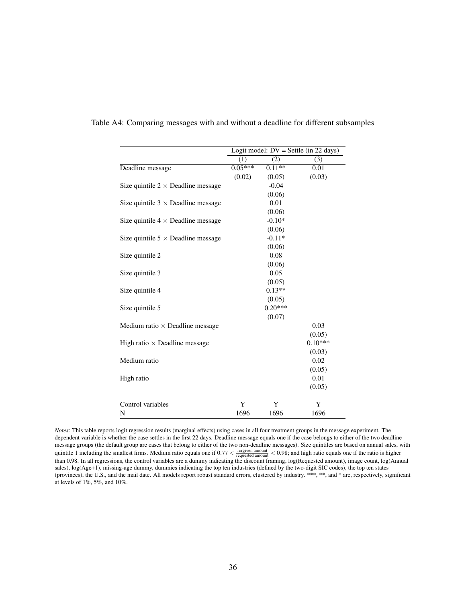|                                           | Logit model: $DV = Settle$ (in 22 days) |           |           |  |  |  |
|-------------------------------------------|-----------------------------------------|-----------|-----------|--|--|--|
|                                           | (1)                                     | (2)       | (3)       |  |  |  |
| Deadline message                          | $0.05***$                               | $0.11**$  | 0.01      |  |  |  |
|                                           | (0.02)                                  | (0.05)    | (0.03)    |  |  |  |
| Size quintile $2 \times$ Deadline message |                                         | $-0.04$   |           |  |  |  |
|                                           |                                         | (0.06)    |           |  |  |  |
| Size quintile $3 \times$ Deadline message |                                         | 0.01      |           |  |  |  |
|                                           |                                         | (0.06)    |           |  |  |  |
| Size quintile $4 \times$ Deadline message |                                         | $-0.10*$  |           |  |  |  |
|                                           |                                         | (0.06)    |           |  |  |  |
| Size quintile $5 \times$ Deadline message |                                         | $-0.11*$  |           |  |  |  |
|                                           |                                         | (0.06)    |           |  |  |  |
| Size quintile 2                           |                                         | 0.08      |           |  |  |  |
|                                           |                                         | (0.06)    |           |  |  |  |
| Size quintile 3                           |                                         | 0.05      |           |  |  |  |
|                                           |                                         | (0.05)    |           |  |  |  |
| Size quintile 4                           |                                         | $0.13**$  |           |  |  |  |
|                                           |                                         | (0.05)    |           |  |  |  |
| Size quintile 5                           |                                         | $0.20***$ |           |  |  |  |
|                                           |                                         | (0.07)    |           |  |  |  |
| Medium ratio $\times$ Deadline message    |                                         |           | 0.03      |  |  |  |
|                                           |                                         |           | (0.05)    |  |  |  |
| High ratio $\times$ Deadline message      |                                         |           | $0.10***$ |  |  |  |
|                                           |                                         |           | (0.03)    |  |  |  |
| Medium ratio                              |                                         |           | 0.02      |  |  |  |
|                                           |                                         |           | (0.05)    |  |  |  |
| High ratio                                |                                         |           | 0.01      |  |  |  |
|                                           |                                         |           | (0.05)    |  |  |  |
|                                           |                                         |           |           |  |  |  |
| Control variables                         | Y                                       | Y         | Y         |  |  |  |
| N                                         | 1696                                    | 1696      | 1696      |  |  |  |

Table A4: Comparing messages with and without a deadline for different subsamples

*Notes*: This table reports logit regression results (marginal effects) using cases in all four treatment groups in the message experiment. The dependent variable is whether the case settles in the first 22 days. Deadline message equals one if the case belongs to either of the two deadline message groups (the default group are cases that belong to either of the two non-deadline messages). Size quintiles are based on annual sales, with quintile 1 including the smallest firms. Medium ratio equals one if  $0.77 < \frac{\text{forgiven amount}}{\text{requested amount}} < 0.98$ ; and high ratio equals one if the ratio is higher than 0.98. In all regressions, the control variables are a dummy indicating the discount framing, log(Requested amount), image count, log(Annual sales), log(Age+1), missing-age dummy, dummies indicating the top ten industries (defined by the two-digit SIC codes), the top ten states (provinces), the U.S., and the mail date. All models report robust standard errors, clustered by industry. \*\*\*, \*\*, and \* are, respectively, significant at levels of 1%, 5%, and 10%.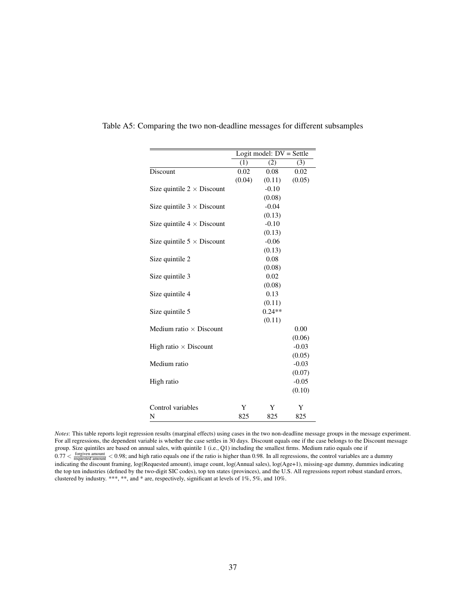|                                   | Logit model: $DV = Settle$ |                  |         |  |  |  |
|-----------------------------------|----------------------------|------------------|---------|--|--|--|
|                                   | $\overline{(1)}$           | $\overline{(2)}$ | (3)     |  |  |  |
| Discount                          | 0.02                       | 0.08             | 0.02    |  |  |  |
|                                   | (0.04)                     | (0.11)           | (0.05)  |  |  |  |
| Size quintile $2 \times$ Discount |                            | $-0.10$          |         |  |  |  |
|                                   |                            | (0.08)           |         |  |  |  |
| Size quintile $3 \times$ Discount |                            | $-0.04$          |         |  |  |  |
|                                   |                            | (0.13)           |         |  |  |  |
| Size quintile $4 \times$ Discount |                            | $-0.10$          |         |  |  |  |
|                                   |                            | (0.13)           |         |  |  |  |
| Size quintile $5 \times$ Discount |                            | $-0.06$          |         |  |  |  |
|                                   |                            | (0.13)           |         |  |  |  |
| Size quintile 2                   |                            | 0.08             |         |  |  |  |
|                                   |                            | (0.08)           |         |  |  |  |
| Size quintile 3                   |                            | 0.02             |         |  |  |  |
|                                   |                            | (0.08)           |         |  |  |  |
| Size quintile 4                   |                            | 0.13             |         |  |  |  |
|                                   |                            | (0.11)           |         |  |  |  |
| Size quintile 5                   |                            | $0.24**$         |         |  |  |  |
|                                   |                            | (0.11)           |         |  |  |  |
| Medium ratio $\times$ Discount    |                            |                  | 0.00    |  |  |  |
|                                   |                            |                  | (0.06)  |  |  |  |
| High ratio $\times$ Discount      |                            |                  | $-0.03$ |  |  |  |
|                                   |                            |                  | (0.05)  |  |  |  |
| Medium ratio                      |                            |                  | $-0.03$ |  |  |  |
|                                   |                            |                  | (0.07)  |  |  |  |
| High ratio                        |                            |                  | $-0.05$ |  |  |  |
|                                   |                            |                  | (0.10)  |  |  |  |
|                                   |                            |                  |         |  |  |  |
| Control variables                 | Y                          | Y                | Y       |  |  |  |
| N                                 | 825                        | 825              | 825     |  |  |  |

Table A5: Comparing the two non-deadline messages for different subsamples

*Notes*: This table reports logit regression results (marginal effects) using cases in the two non-deadline message groups in the message experiment. For all regressions, the dependent variable is whether the case settles in 30 days. Discount equals one if the case belongs to the Discount message group. Size quintiles are based on annual sales, with quintile 1 (i.e., Q1) including the smallest firms. Medium ratio equals one if  $0.77 < \frac{forgiven amount}{fregused amount} < 0.98$ ; and high ratio equals one if the ratio is higher than 0.98. In all regressions, the control variables are a dummy indicating the discount framing, log(Requested amount), image count, log(Annual sales), log(Age+1), missing-age dummy, dummies indicating the top ten industries (defined by the two-digit SIC codes), top ten states (provinces), and the U.S. All regressions report robust standard errors, clustered by industry. \*\*\*, \*\*, and \* are, respectively, significant at levels of 1%, 5%, and 10%.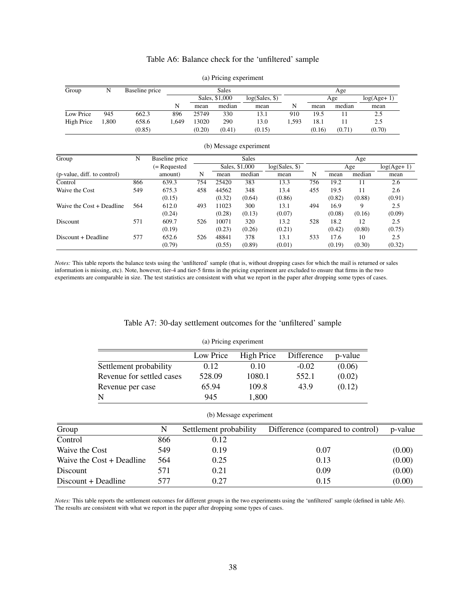## Table A6: Balance check for the 'unfiltered' sample

| Group      | N    | Baseline price | Sales |                |        |                |       |        | Age    |              |
|------------|------|----------------|-------|----------------|--------|----------------|-------|--------|--------|--------------|
|            |      |                |       | Sales, \$1,000 |        | log(Sales, \$) |       | Age    |        | $log(Age+1)$ |
|            |      |                | N     | mean           | median | mean           | N     | mean   | median | mean         |
| Low Price  | 945  | 662.3          | 896   | 25749          | 330    | 13.1           | 910   | 19.5   |        | 2.5          |
| High Price | .800 | 658.6          | . 649 | 13020          | 290    | 13.0           | 1.593 | 18.1   |        | 2.5          |
|            |      | (0.85)         |       | (0.20)         | (0.41) | (0.15)         |       | (0.16) | (0.71) | (0.70)       |

(a) Pricing experiment

| (b) Message experiment      |     |                |     |        |                |                |     |        |        |              |
|-----------------------------|-----|----------------|-----|--------|----------------|----------------|-----|--------|--------|--------------|
| Group                       | N   | Baseline price |     |        | <b>Sales</b>   |                | Age |        |        |              |
|                             |     | (= Requested   |     |        | Sales, \$1,000 | log(Sales, \$) |     |        | Age    | $log(Age+1)$ |
| (p-value, diff. to control) |     | amount)        | N   | mean   | median         | mean           | N   | mean   | median | mean         |
| Control                     | 866 | 639.3          | 754 | 25420  | 383            | 13.3           | 756 | 19.2   | 11     | 2.6          |
| Waive the Cost              | 549 | 675.3          | 458 | 44562  | 348            | 13.4           | 455 | 19.5   | 11     | 2.6          |
|                             |     | (0.15)         |     | (0.32) | (0.64)         | (0.86)         |     | (0.82) | (0.88) | (0.91)       |
| Waive the Cost + Deadline   | 564 | 612.0          | 493 | 11023  | 300            | 13.1           | 494 | 16.9   | 9      | 2.5          |
|                             |     | (0.24)         |     | (0.28) | (0.13)         | (0.07)         |     | (0.08) | (0.16) | (0.09)       |
| Discount                    | 571 | 609.7          | 526 | 10071  | 320            | 13.2           | 528 | 18.2   | 12     | 2.5          |
|                             |     | (0.19)         |     | (0.23) | (0.26)         | (0.21)         |     | (0.42) | (0.80) | (0.75)       |
| Discount + Deadline         | 577 | 652.6          | 526 | 48841  | 378            | 13.1           | 533 | 17.6   | 10     | 2.5          |
|                             |     | (0.79)         |     | (0.55) | (0.89)         | (0.01)         |     | (0.19) | (0.30) | (0.32)       |

*Notes:* This table reports the balance tests using the 'unfiltered' sample (that is, without dropping cases for which the mail is returned or sales information is missing, etc). Note, however, tier-4 and tier-5 firms in the pricing experiment are excluded to ensure that firms in the two experiments are comparable in size. The test statistics are consistent with what we report in the paper after dropping some types of cases.

### Table A7: 30-day settlement outcomes for the 'unfiltered' sample

| (a) Pricing experiment    |           |            |            |         |  |  |  |  |
|---------------------------|-----------|------------|------------|---------|--|--|--|--|
|                           | Low Price | High Price | Difference | p-value |  |  |  |  |
| Settlement probability    | 0.12      | 0.10       | $-0.02$    | (0.06)  |  |  |  |  |
| Revenue for settled cases | 528.09    | 1080.1     | 552.1      | (0.02)  |  |  |  |  |
| Revenue per case          | 65.94     | 109.8      | 43.9       | (0.12)  |  |  |  |  |
|                           | 945       | 1,800      |            |         |  |  |  |  |

| Group                     | N   | Settlement probability | Difference (compared to control) | p-value |
|---------------------------|-----|------------------------|----------------------------------|---------|
| Control                   | 866 | 0.12                   |                                  |         |
| Waive the Cost            | 549 | 0.19                   | 0.07                             | (0.00)  |
| Waive the Cost + Deadline | 564 | 0.25                   | 0.13                             | (0.00)  |
| Discount                  | 571 | 0.21                   | 0.09                             | (0.00)  |
| Discount + Deadline       | 577 | 0.27                   | 0.15                             | (0.00)  |

*Notes:* This table reports the settlement outcomes for different groups in the two experiments using the 'unfiltered' sample (defined in table A6). The results are consistent with what we report in the paper after dropping some types of cases.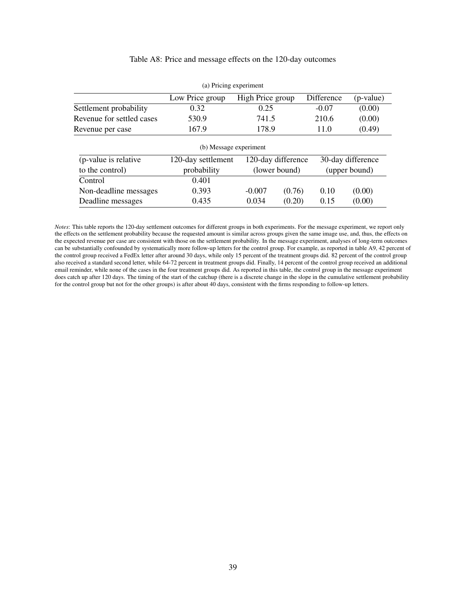| (a) Pricing experiment    |                    |                    |            |                   |  |  |  |  |  |
|---------------------------|--------------------|--------------------|------------|-------------------|--|--|--|--|--|
|                           | Low Price group    | High Price group   | Difference | (p-value)         |  |  |  |  |  |
| Settlement probability    | 0.32               | 0.25               | $-0.07$    | (0.00)            |  |  |  |  |  |
| Revenue for settled cases | 530.9              | 741.5              | 210.6      | (0.00)            |  |  |  |  |  |
| Revenue per case          | 167.9              | 178.9              | 11.0       | (0.49)            |  |  |  |  |  |
| (b) Message experiment    |                    |                    |            |                   |  |  |  |  |  |
| (p-value is relative)     | 120-day settlement | 120-day difference |            | 30-day difference |  |  |  |  |  |
| to the control)           | probability        | (lower bound)      |            | (upper bound)     |  |  |  |  |  |
| Control                   | 0.401              |                    |            |                   |  |  |  |  |  |
| Non-deadline messages     | 0.393              | (0.76)<br>$-0.007$ | 0.10       | (0.00)            |  |  |  |  |  |
| Deadline messages         | 0.435              | 0.034<br>(0.20)    | 0.15       | (0.00)            |  |  |  |  |  |

### Table A8: Price and message effects on the 120-day outcomes

*Notes*: This table reports the 120-day settlement outcomes for different groups in both experiments. For the message experiment, we report only the effects on the settlement probability because the requested amount is similar across groups given the same image use, and, thus, the effects on the expected revenue per case are consistent with those on the settlement probability. In the message experiment, analyses of long-term outcomes can be substantially confounded by systematically more follow-up letters for the control group. For example, as reported in table A9, 42 percent of the control group received a FedEx letter after around 30 days, while only 15 percent of the treatment groups did. 82 percent of the control group also received a standard second letter, while 64-72 percent in treatment groups did. Finally, 14 percent of the control group received an additional email reminder, while none of the cases in the four treatment groups did. As reported in this table, the control group in the message experiment does catch up after 120 days. The timing of the start of the catchup (there is a discrete change in the slope in the cumulative settlement probability for the control group but not for the other groups) is after about 40 days, consistent with the firms responding to follow-up letters.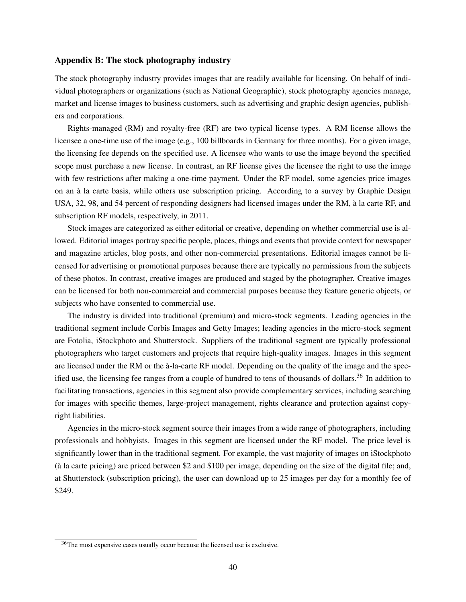#### Appendix B: The stock photography industry

The stock photography industry provides images that are readily available for licensing. On behalf of individual photographers or organizations (such as National Geographic), stock photography agencies manage, market and license images to business customers, such as advertising and graphic design agencies, publishers and corporations.

Rights-managed (RM) and royalty-free (RF) are two typical license types. A RM license allows the licensee a one-time use of the image (e.g., 100 billboards in Germany for three months). For a given image, the licensing fee depends on the specified use. A licensee who wants to use the image beyond the specified scope must purchase a new license. In contrast, an RF license gives the licensee the right to use the image with few restrictions after making a one-time payment. Under the RF model, some agencies price images on an à la carte basis, while others use subscription pricing. According to a survey by Graphic Design USA, 32, 98, and 54 percent of responding designers had licensed images under the RM, à la carte RF, and subscription RF models, respectively, in 2011.

Stock images are categorized as either editorial or creative, depending on whether commercial use is allowed. Editorial images portray specific people, places, things and events that provide context for newspaper and magazine articles, blog posts, and other non-commercial presentations. Editorial images cannot be licensed for advertising or promotional purposes because there are typically no permissions from the subjects of these photos. In contrast, creative images are produced and staged by the photographer. Creative images can be licensed for both non-commercial and commercial purposes because they feature generic objects, or subjects who have consented to commercial use.

The industry is divided into traditional (premium) and micro-stock segments. Leading agencies in the traditional segment include Corbis Images and Getty Images; leading agencies in the micro-stock segment are Fotolia, iStockphoto and Shutterstock. Suppliers of the traditional segment are typically professional photographers who target customers and projects that require high-quality images. Images in this segment are licensed under the RM or the  $\alpha$ -la-carte RF model. Depending on the quality of the image and the specified use, the licensing fee ranges from a couple of hundred to tens of thousands of dollars.<sup>36</sup> In addition to facilitating transactions, agencies in this segment also provide complementary services, including searching for images with specific themes, large-project management, rights clearance and protection against copyright liabilities.

Agencies in the micro-stock segment source their images from a wide range of photographers, including professionals and hobbyists. Images in this segment are licensed under the RF model. The price level is significantly lower than in the traditional segment. For example, the vast majority of images on iStockphoto (a la carte pricing) are priced between \$2 and \$100 per image, depending on the size of the digital file; and, at Shutterstock (subscription pricing), the user can download up to 25 images per day for a monthly fee of \$249.

<sup>&</sup>lt;sup>36</sup>The most expensive cases usually occur because the licensed use is exclusive.